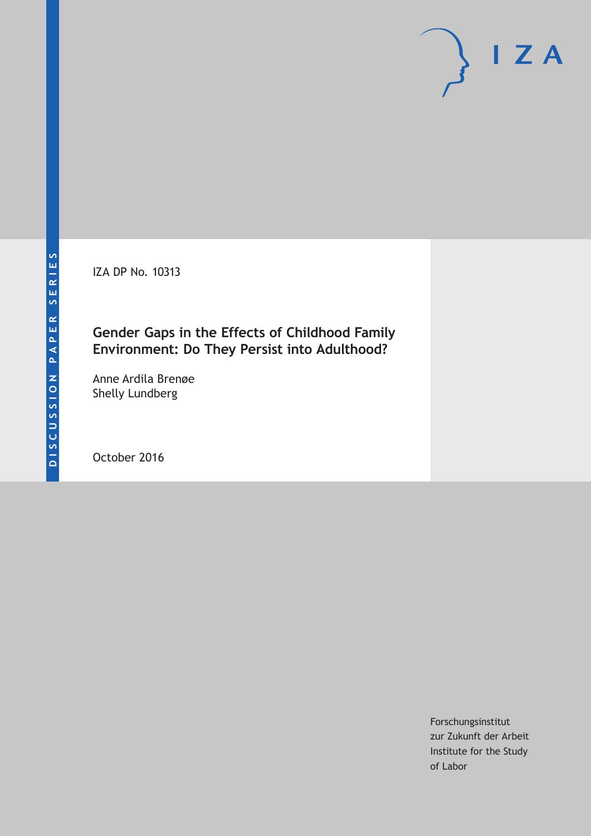IZA DP No. 10313

## **Gender Gaps in the Effects of Childhood Family Environment: Do They Persist into Adulthood?**

Anne Ardila Brenøe Shelly Lundberg

October 2016

Forschungsinstitut zur Zukunft der Arbeit Institute for the Study of Labor

 $I Z A$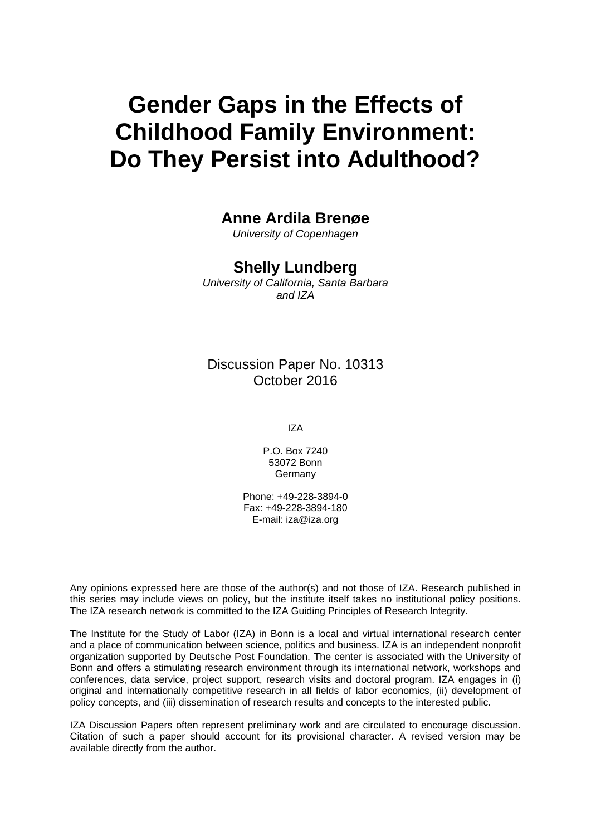# **Gender Gaps in the Effects of Childhood Family Environment: Do They Persist into Adulthood?**

## **Anne Ardila Brenøe**

*University of Copenhagen* 

### **Shelly Lundberg**

*University of California, Santa Barbara and IZA* 

### Discussion Paper No. 10313 October 2016

IZA

P.O. Box 7240 53072 Bonn Germany

Phone: +49-228-3894-0 Fax: +49-228-3894-180 E-mail: iza@iza.org

Any opinions expressed here are those of the author(s) and not those of IZA. Research published in this series may include views on policy, but the institute itself takes no institutional policy positions. The IZA research network is committed to the IZA Guiding Principles of Research Integrity.

The Institute for the Study of Labor (IZA) in Bonn is a local and virtual international research center and a place of communication between science, politics and business. IZA is an independent nonprofit organization supported by Deutsche Post Foundation. The center is associated with the University of Bonn and offers a stimulating research environment through its international network, workshops and conferences, data service, project support, research visits and doctoral program. IZA engages in (i) original and internationally competitive research in all fields of labor economics, (ii) development of policy concepts, and (iii) dissemination of research results and concepts to the interested public.

IZA Discussion Papers often represent preliminary work and are circulated to encourage discussion. Citation of such a paper should account for its provisional character. A revised version may be available directly from the author.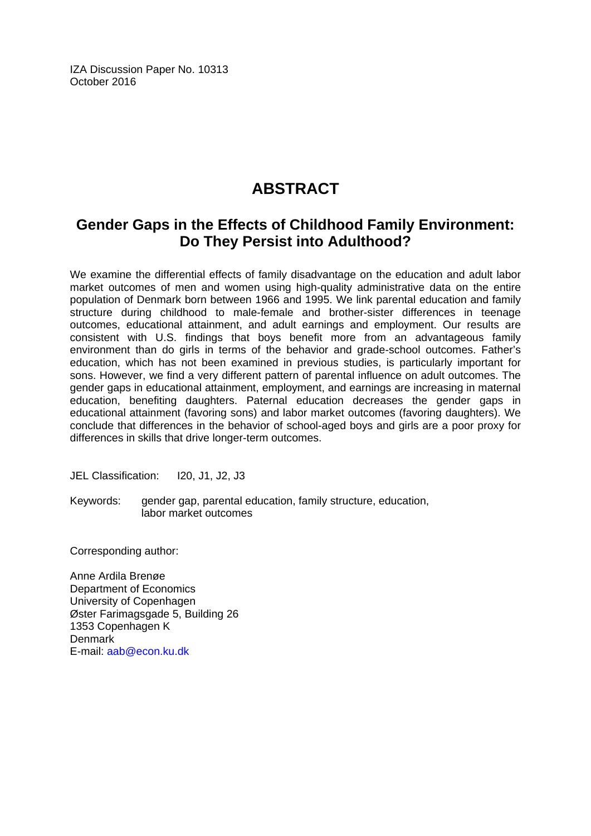IZA Discussion Paper No. 10313 October 2016

## **ABSTRACT**

## **Gender Gaps in the Effects of Childhood Family Environment: Do They Persist into Adulthood?**

We examine the differential effects of family disadvantage on the education and adult labor market outcomes of men and women using high-quality administrative data on the entire population of Denmark born between 1966 and 1995. We link parental education and family structure during childhood to male-female and brother-sister differences in teenage outcomes, educational attainment, and adult earnings and employment. Our results are consistent with U.S. findings that boys benefit more from an advantageous family environment than do girls in terms of the behavior and grade-school outcomes. Father's education, which has not been examined in previous studies, is particularly important for sons. However, we find a very different pattern of parental influence on adult outcomes. The gender gaps in educational attainment, employment, and earnings are increasing in maternal education, benefiting daughters. Paternal education decreases the gender gaps in educational attainment (favoring sons) and labor market outcomes (favoring daughters). We conclude that differences in the behavior of school-aged boys and girls are a poor proxy for differences in skills that drive longer-term outcomes.

JEL Classification: I20, J1, J2, J3

Keywords: gender gap, parental education, family structure, education, labor market outcomes

Corresponding author:

Anne Ardila Brenøe Department of Economics University of Copenhagen Øster Farimagsgade 5, Building 26 1353 Copenhagen K Denmark E-mail: aab@econ.ku.dk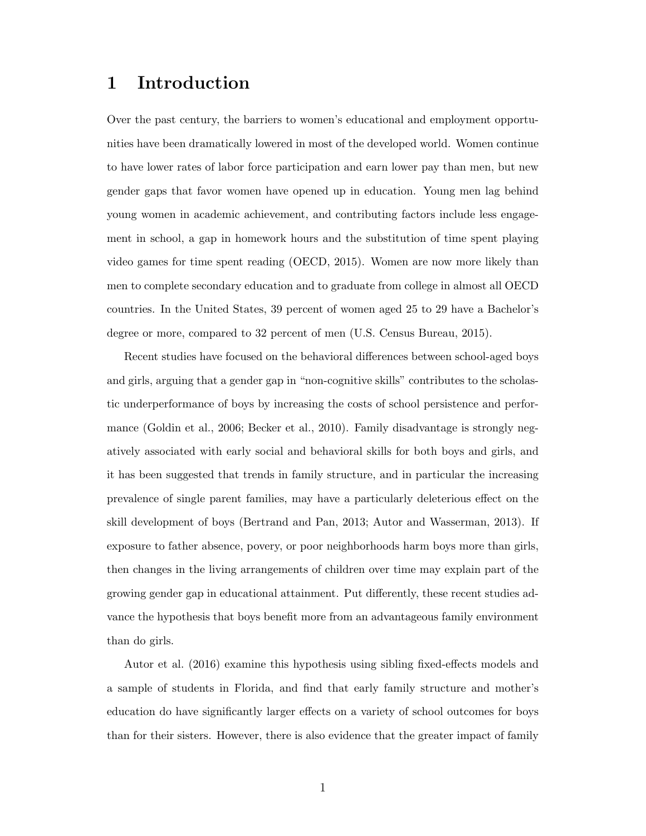## 1 Introduction

Over the past century, the barriers to women's educational and employment opportunities have been dramatically lowered in most of the developed world. Women continue to have lower rates of labor force participation and earn lower pay than men, but new gender gaps that favor women have opened up in education. Young men lag behind young women in academic achievement, and contributing factors include less engagement in school, a gap in homework hours and the substitution of time spent playing video games for time spent reading [\(OECD,](#page-37-0) [2015\)](#page-37-0). Women are now more likely than men to complete secondary education and to graduate from college in almost all OECD countries. In the United States, 39 percent of women aged 25 to 29 have a Bachelor's degree or more, compared to 32 percent of men [\(U.S. Census Bureau,](#page-38-0) [2015\)](#page-38-0).

Recent studies have focused on the behavioral differences between school-aged boys and girls, arguing that a gender gap in "non-cognitive skills" contributes to the scholastic underperformance of boys by increasing the costs of school persistence and performance [\(Goldin et al.,](#page-36-0) [2006;](#page-36-0) [Becker et al.,](#page-35-0) [2010\)](#page-35-0). Family disadvantage is strongly negatively associated with early social and behavioral skills for both boys and girls, and it has been suggested that trends in family structure, and in particular the increasing prevalence of single parent families, may have a particularly deleterious effect on the skill development of boys [\(Bertrand and Pan,](#page-36-1) [2013;](#page-36-1) [Autor and Wasserman,](#page-35-1) [2013\)](#page-35-1). If exposure to father absence, povery, or poor neighborhoods harm boys more than girls, then changes in the living arrangements of children over time may explain part of the growing gender gap in educational attainment. Put differently, these recent studies advance the hypothesis that boys benefit more from an advantageous family environment than do girls.

[Autor et al.](#page-35-2) [\(2016\)](#page-35-2) examine this hypothesis using sibling fixed-effects models and a sample of students in Florida, and find that early family structure and mother's education do have significantly larger effects on a variety of school outcomes for boys than for their sisters. However, there is also evidence that the greater impact of family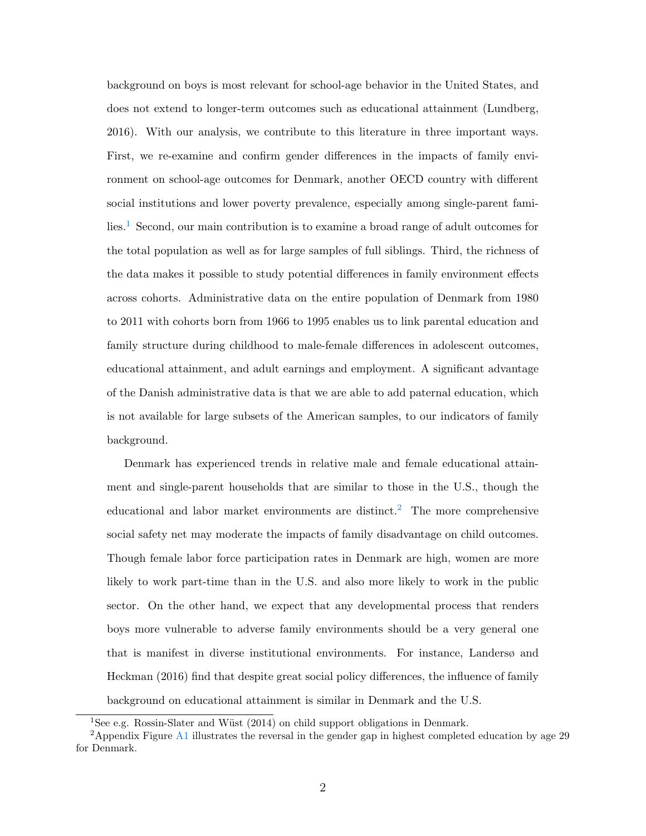background on boys is most relevant for school-age behavior in the United States, and does not extend to longer-term outcomes such as educational attainment [\(Lundberg,](#page-37-1) [2016\)](#page-37-1). With our analysis, we contribute to this literature in three important ways. First, we re-examine and confirm gender differences in the impacts of family environment on school-age outcomes for Denmark, another OECD country with different social institutions and lower poverty prevalence, especially among single-parent fami $l$ ies.<sup>[1](#page-4-0)</sup> Second, our main contribution is to examine a broad range of adult outcomes for the total population as well as for large samples of full siblings. Third, the richness of the data makes it possible to study potential differences in family environment effects across cohorts. Administrative data on the entire population of Denmark from 1980 to 2011 with cohorts born from 1966 to 1995 enables us to link parental education and family structure during childhood to male-female differences in adolescent outcomes, educational attainment, and adult earnings and employment. A significant advantage of the Danish administrative data is that we are able to add paternal education, which is not available for large subsets of the American samples, to our indicators of family background.

Denmark has experienced trends in relative male and female educational attainment and single-parent households that are similar to those in the U.S., though the educational and labor market environments are distinct.<sup>[2](#page-4-1)</sup> The more comprehensive social safety net may moderate the impacts of family disadvantage on child outcomes. Though female labor force participation rates in Denmark are high, women are more likely to work part-time than in the U.S. and also more likely to work in the public sector. On the other hand, we expect that any developmental process that renders boys more vulnerable to adverse family environments should be a very general one that is manifest in diverse institutional environments. For instance, [Landersø and](#page-37-2) [Heckman](#page-37-2) [\(2016\)](#page-37-2) find that despite great social policy differences, the influence of family background on educational attainment is similar in Denmark and the U.S.

<span id="page-4-1"></span><span id="page-4-0"></span><sup>1</sup>See e.g. [Rossin-Slater and W¨ust](#page-37-3) [\(2014\)](#page-37-3) on child support obligations in Denmark.

<sup>2</sup>Appendix Figure [A1](#page-39-0) illustrates the reversal in the gender gap in highest completed education by age 29 for Denmark.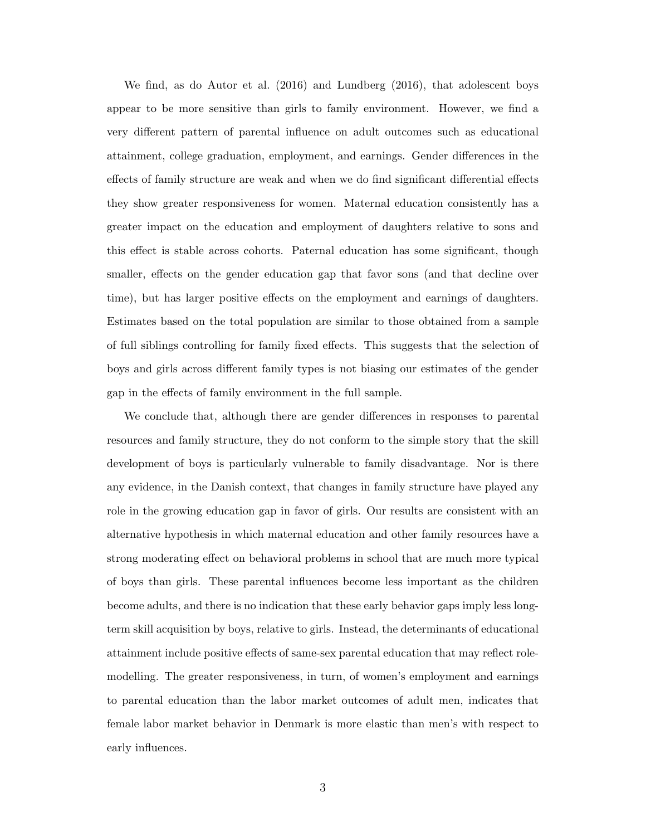We find, as do [Autor et al.](#page-35-2) [\(2016\)](#page-35-2) and [Lundberg](#page-37-1) [\(2016\)](#page-37-1), that adolescent boys appear to be more sensitive than girls to family environment. However, we find a very different pattern of parental influence on adult outcomes such as educational attainment, college graduation, employment, and earnings. Gender differences in the effects of family structure are weak and when we do find significant differential effects they show greater responsiveness for women. Maternal education consistently has a greater impact on the education and employment of daughters relative to sons and this effect is stable across cohorts. Paternal education has some significant, though smaller, effects on the gender education gap that favor sons (and that decline over time), but has larger positive effects on the employment and earnings of daughters. Estimates based on the total population are similar to those obtained from a sample of full siblings controlling for family fixed effects. This suggests that the selection of boys and girls across different family types is not biasing our estimates of the gender gap in the effects of family environment in the full sample.

We conclude that, although there are gender differences in responses to parental resources and family structure, they do not conform to the simple story that the skill development of boys is particularly vulnerable to family disadvantage. Nor is there any evidence, in the Danish context, that changes in family structure have played any role in the growing education gap in favor of girls. Our results are consistent with an alternative hypothesis in which maternal education and other family resources have a strong moderating effect on behavioral problems in school that are much more typical of boys than girls. These parental influences become less important as the children become adults, and there is no indication that these early behavior gaps imply less longterm skill acquisition by boys, relative to girls. Instead, the determinants of educational attainment include positive effects of same-sex parental education that may reflect rolemodelling. The greater responsiveness, in turn, of women's employment and earnings to parental education than the labor market outcomes of adult men, indicates that female labor market behavior in Denmark is more elastic than men's with respect to early influences.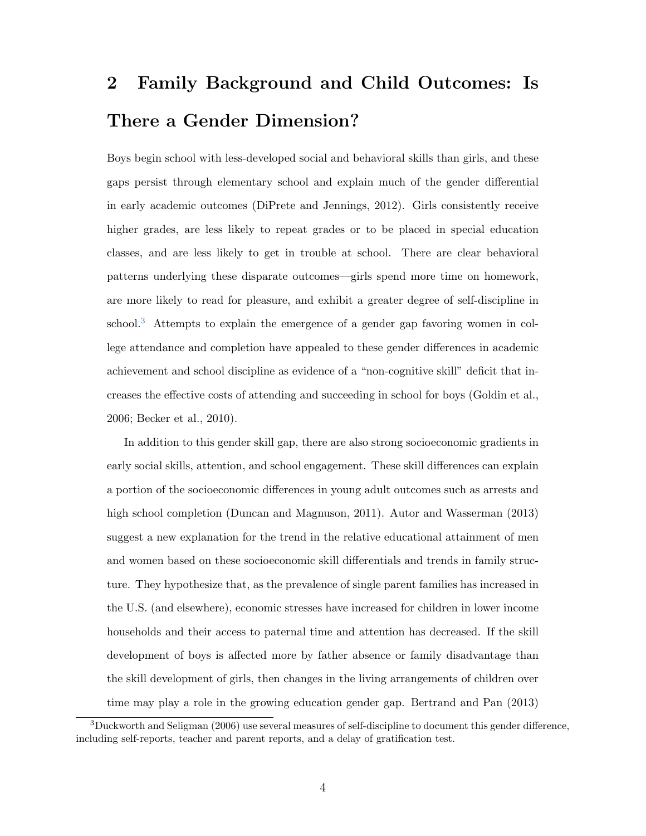# 2 Family Background and Child Outcomes: Is There a Gender Dimension?

Boys begin school with less-developed social and behavioral skills than girls, and these gaps persist through elementary school and explain much of the gender differential in early academic outcomes [\(DiPrete and Jennings,](#page-36-2) [2012\)](#page-36-2). Girls consistently receive higher grades, are less likely to repeat grades or to be placed in special education classes, and are less likely to get in trouble at school. There are clear behavioral patterns underlying these disparate outcomes—girls spend more time on homework, are more likely to read for pleasure, and exhibit a greater degree of self-discipline in school.<sup>[3](#page-6-0)</sup> Attempts to explain the emergence of a gender gap favoring women in college attendance and completion have appealed to these gender differences in academic achievement and school discipline as evidence of a "non-cognitive skill" deficit that increases the effective costs of attending and succeeding in school for boys [\(Goldin et al.,](#page-36-0) [2006;](#page-36-0) [Becker et al.,](#page-35-0) [2010\)](#page-35-0).

In addition to this gender skill gap, there are also strong socioeconomic gradients in early social skills, attention, and school engagement. These skill differences can explain a portion of the socioeconomic differences in young adult outcomes such as arrests and high school completion [\(Duncan and Magnuson,](#page-36-3) [2011\)](#page-36-3). [Autor and Wasserman](#page-35-1) [\(2013\)](#page-35-1) suggest a new explanation for the trend in the relative educational attainment of men and women based on these socioeconomic skill differentials and trends in family structure. They hypothesize that, as the prevalence of single parent families has increased in the U.S. (and elsewhere), economic stresses have increased for children in lower income households and their access to paternal time and attention has decreased. If the skill development of boys is affected more by father absence or family disadvantage than the skill development of girls, then changes in the living arrangements of children over time may play a role in the growing education gender gap. [Bertrand and Pan](#page-36-1) [\(2013\)](#page-36-1)

<span id="page-6-0"></span><sup>3</sup>[Duckworth and Seligman](#page-36-4) [\(2006\)](#page-36-4) use several measures of self-discipline to document this gender difference, including self-reports, teacher and parent reports, and a delay of gratification test.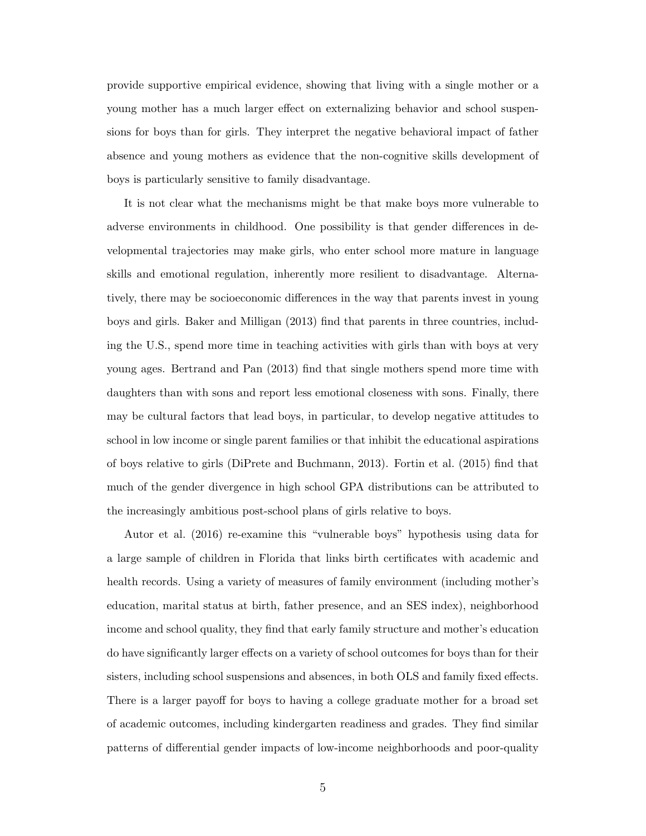provide supportive empirical evidence, showing that living with a single mother or a young mother has a much larger effect on externalizing behavior and school suspensions for boys than for girls. They interpret the negative behavioral impact of father absence and young mothers as evidence that the non-cognitive skills development of boys is particularly sensitive to family disadvantage.

It is not clear what the mechanisms might be that make boys more vulnerable to adverse environments in childhood. One possibility is that gender differences in developmental trajectories may make girls, who enter school more mature in language skills and emotional regulation, inherently more resilient to disadvantage. Alternatively, there may be socioeconomic differences in the way that parents invest in young boys and girls. [Baker and Milligan](#page-35-3) [\(2013\)](#page-35-3) find that parents in three countries, including the U.S., spend more time in teaching activities with girls than with boys at very young ages. [Bertrand and Pan](#page-36-1) [\(2013\)](#page-36-1) find that single mothers spend more time with daughters than with sons and report less emotional closeness with sons. Finally, there may be cultural factors that lead boys, in particular, to develop negative attitudes to school in low income or single parent families or that inhibit the educational aspirations of boys relative to girls [\(DiPrete and Buchmann,](#page-36-5) [2013\)](#page-36-5). [Fortin et al.](#page-36-6) [\(2015\)](#page-36-6) find that much of the gender divergence in high school GPA distributions can be attributed to the increasingly ambitious post-school plans of girls relative to boys.

[Autor et al.](#page-35-2) [\(2016\)](#page-35-2) re-examine this "vulnerable boys" hypothesis using data for a large sample of children in Florida that links birth certificates with academic and health records. Using a variety of measures of family environment (including mother's education, marital status at birth, father presence, and an SES index), neighborhood income and school quality, they find that early family structure and mother's education do have significantly larger effects on a variety of school outcomes for boys than for their sisters, including school suspensions and absences, in both OLS and family fixed effects. There is a larger payoff for boys to having a college graduate mother for a broad set of academic outcomes, including kindergarten readiness and grades. They find similar patterns of differential gender impacts of low-income neighborhoods and poor-quality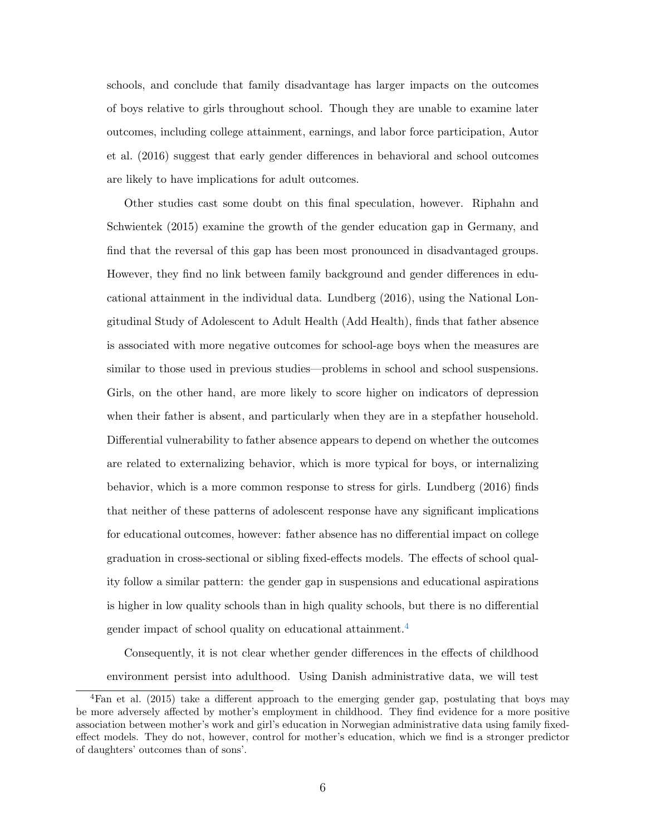schools, and conclude that family disadvantage has larger impacts on the outcomes of boys relative to girls throughout school. Though they are unable to examine later outcomes, including college attainment, earnings, and labor force participation, [Autor](#page-35-2) [et al.](#page-35-2) [\(2016\)](#page-35-2) suggest that early gender differences in behavioral and school outcomes are likely to have implications for adult outcomes.

Other studies cast some doubt on this final speculation, however. [Riphahn and](#page-37-4) [Schwientek](#page-37-4) [\(2015\)](#page-37-4) examine the growth of the gender education gap in Germany, and find that the reversal of this gap has been most pronounced in disadvantaged groups. However, they find no link between family background and gender differences in educational attainment in the individual data. [Lundberg](#page-37-1) [\(2016\)](#page-37-1), using the National Longitudinal Study of Adolescent to Adult Health (Add Health), finds that father absence is associated with more negative outcomes for school-age boys when the measures are similar to those used in previous studies—problems in school and school suspensions. Girls, on the other hand, are more likely to score higher on indicators of depression when their father is absent, and particularly when they are in a stepfather household. Differential vulnerability to father absence appears to depend on whether the outcomes are related to externalizing behavior, which is more typical for boys, or internalizing behavior, which is a more common response to stress for girls. [Lundberg](#page-37-1) [\(2016\)](#page-37-1) finds that neither of these patterns of adolescent response have any significant implications for educational outcomes, however: father absence has no differential impact on college graduation in cross-sectional or sibling fixed-effects models. The effects of school quality follow a similar pattern: the gender gap in suspensions and educational aspirations is higher in low quality schools than in high quality schools, but there is no differential gender impact of school quality on educational attainment.[4](#page-8-0)

Consequently, it is not clear whether gender differences in the effects of childhood environment persist into adulthood. Using Danish administrative data, we will test

<span id="page-8-0"></span><sup>4</sup>[Fan et al.](#page-36-7) [\(2015\)](#page-36-7) take a different approach to the emerging gender gap, postulating that boys may be more adversely affected by mother's employment in childhood. They find evidence for a more positive association between mother's work and girl's education in Norwegian administrative data using family fixedeffect models. They do not, however, control for mother's education, which we find is a stronger predictor of daughters' outcomes than of sons'.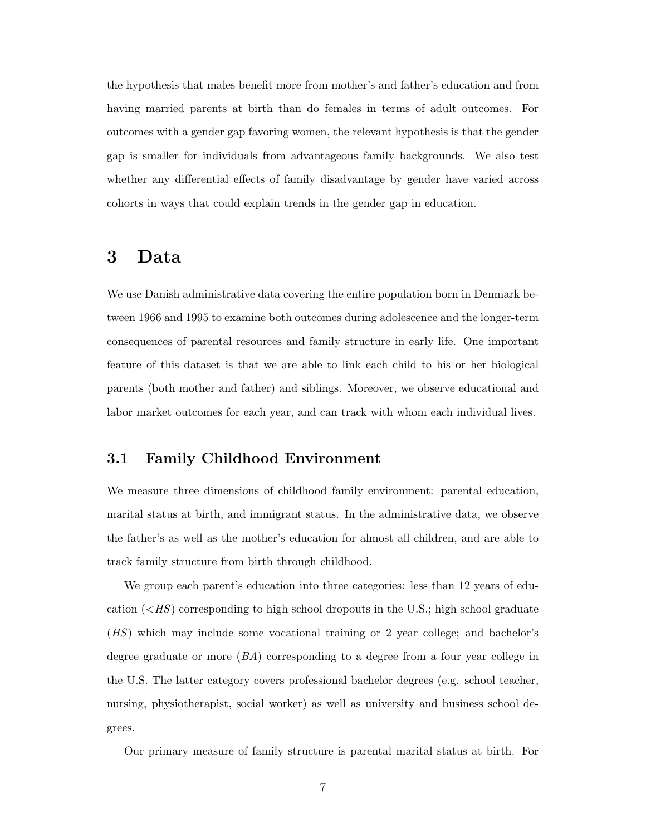the hypothesis that males benefit more from mother's and father's education and from having married parents at birth than do females in terms of adult outcomes. For outcomes with a gender gap favoring women, the relevant hypothesis is that the gender gap is smaller for individuals from advantageous family backgrounds. We also test whether any differential effects of family disadvantage by gender have varied across cohorts in ways that could explain trends in the gender gap in education.

## <span id="page-9-0"></span>3 Data

We use Danish administrative data covering the entire population born in Denmark between 1966 and 1995 to examine both outcomes during adolescence and the longer-term consequences of parental resources and family structure in early life. One important feature of this dataset is that we are able to link each child to his or her biological parents (both mother and father) and siblings. Moreover, we observe educational and labor market outcomes for each year, and can track with whom each individual lives.

#### 3.1 Family Childhood Environment

We measure three dimensions of childhood family environment: parental education, marital status at birth, and immigrant status. In the administrative data, we observe the father's as well as the mother's education for almost all children, and are able to track family structure from birth through childhood.

We group each parent's education into three categories: less than 12 years of education  $\left\langle \langle HS\right\rangle$  corresponding to high school dropouts in the U.S.; high school graduate (HS) which may include some vocational training or 2 year college; and bachelor's degree graduate or more  $(BA)$  corresponding to a degree from a four year college in the U.S. The latter category covers professional bachelor degrees (e.g. school teacher, nursing, physiotherapist, social worker) as well as university and business school degrees.

Our primary measure of family structure is parental marital status at birth. For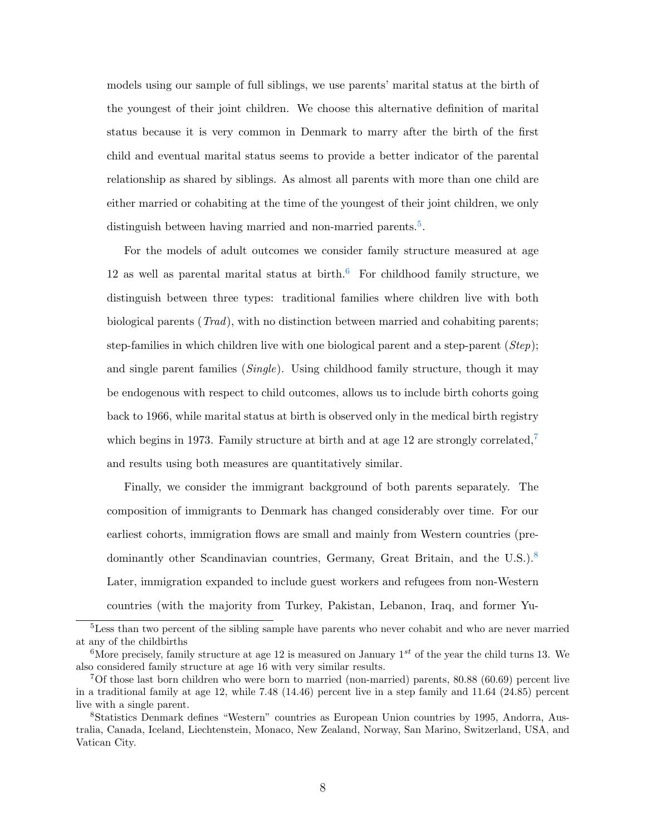models using our sample of full siblings, we use parents' marital status at the birth of the youngest of their joint children. We choose this alternative definition of marital status because it is very common in Denmark to marry after the birth of the first child and eventual marital status seems to provide a better indicator of the parental relationship as shared by siblings. As almost all parents with more than one child are either married or cohabiting at the time of the youngest of their joint children, we only distinguish between having married and non-married parents.<sup>[5](#page-10-0)</sup>.

For the models of adult outcomes we consider family structure measured at age 12 as well as parental marital status at birth.<sup>[6](#page-10-1)</sup> For childhood family structure, we distinguish between three types: traditional families where children live with both biological parents (Trad), with no distinction between married and cohabiting parents; step-families in which children live with one biological parent and a step-parent  $(Step)$ ; and single parent families (Single). Using childhood family structure, though it may be endogenous with respect to child outcomes, allows us to include birth cohorts going back to 1966, while marital status at birth is observed only in the medical birth registry which begins in 19[7](#page-10-2)3. Family structure at birth and at age 12 are strongly correlated,<sup>7</sup> and results using both measures are quantitatively similar.

Finally, we consider the immigrant background of both parents separately. The composition of immigrants to Denmark has changed considerably over time. For our earliest cohorts, immigration flows are small and mainly from Western countries (pre-dominantly other Scandinavian countries, Germany, Great Britain, and the U.S.).<sup>[8](#page-10-3)</sup> Later, immigration expanded to include guest workers and refugees from non-Western countries (with the majority from Turkey, Pakistan, Lebanon, Iraq, and former Yu-

<span id="page-10-0"></span><sup>5</sup>Less than two percent of the sibling sample have parents who never cohabit and who are never married at any of the childbirths

<span id="page-10-1"></span><sup>&</sup>lt;sup>6</sup>More precisely, family structure at age 12 is measured on January  $1^{st}$  of the year the child turns 13. We also considered family structure at age 16 with very similar results.

<span id="page-10-2"></span><sup>7</sup>Of those last born children who were born to married (non-married) parents, 80.88 (60.69) percent live in a traditional family at age 12, while 7.48 (14.46) percent live in a step family and 11.64 (24.85) percent live with a single parent.

<span id="page-10-3"></span><sup>8</sup>Statistics Denmark defines "Western" countries as European Union countries by 1995, Andorra, Australia, Canada, Iceland, Liechtenstein, Monaco, New Zealand, Norway, San Marino, Switzerland, USA, and Vatican City.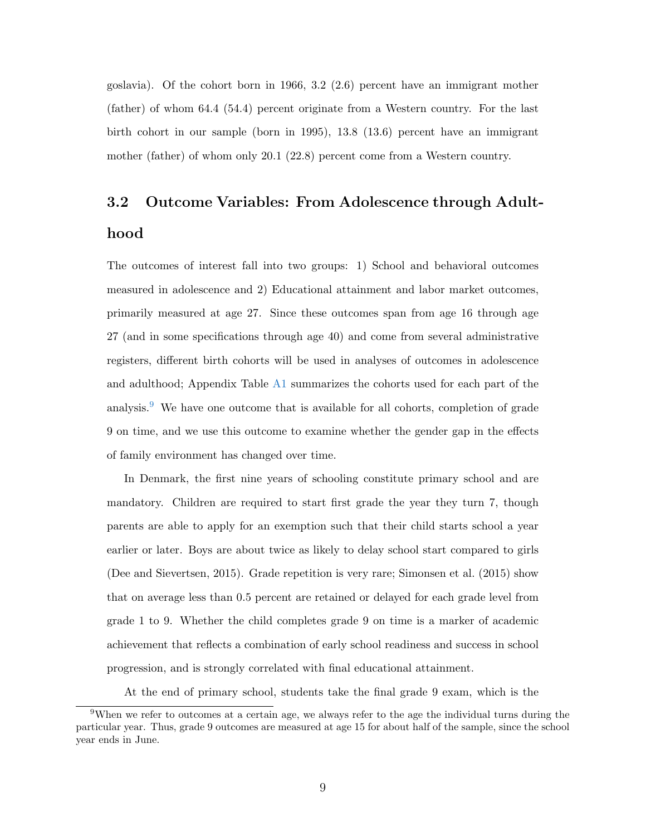goslavia). Of the cohort born in 1966, 3.2 (2.6) percent have an immigrant mother (father) of whom 64.4 (54.4) percent originate from a Western country. For the last birth cohort in our sample (born in 1995), 13.8 (13.6) percent have an immigrant mother (father) of whom only 20.1 (22.8) percent come from a Western country.

# 3.2 Outcome Variables: From Adolescence through Adulthood

The outcomes of interest fall into two groups: 1) School and behavioral outcomes measured in adolescence and 2) Educational attainment and labor market outcomes, primarily measured at age 27. Since these outcomes span from age 16 through age 27 (and in some specifications through age 40) and come from several administrative registers, different birth cohorts will be used in analyses of outcomes in adolescence and adulthood; Appendix Table [A1](#page-39-1) summarizes the cohorts used for each part of the analysis. $9$  We have one outcome that is available for all cohorts, completion of grade 9 on time, and we use this outcome to examine whether the gender gap in the effects of family environment has changed over time.

In Denmark, the first nine years of schooling constitute primary school and are mandatory. Children are required to start first grade the year they turn 7, though parents are able to apply for an exemption such that their child starts school a year earlier or later. Boys are about twice as likely to delay school start compared to girls [\(Dee and Sievertsen,](#page-36-8) [2015\)](#page-36-8). Grade repetition is very rare; [Simonsen et al.](#page-38-1) [\(2015\)](#page-38-1) show that on average less than 0.5 percent are retained or delayed for each grade level from grade 1 to 9. Whether the child completes grade 9 on time is a marker of academic achievement that reflects a combination of early school readiness and success in school progression, and is strongly correlated with final educational attainment.

At the end of primary school, students take the final grade 9 exam, which is the

<span id="page-11-0"></span><sup>&</sup>lt;sup>9</sup>When we refer to outcomes at a certain age, we always refer to the age the individual turns during the particular year. Thus, grade 9 outcomes are measured at age 15 for about half of the sample, since the school year ends in June.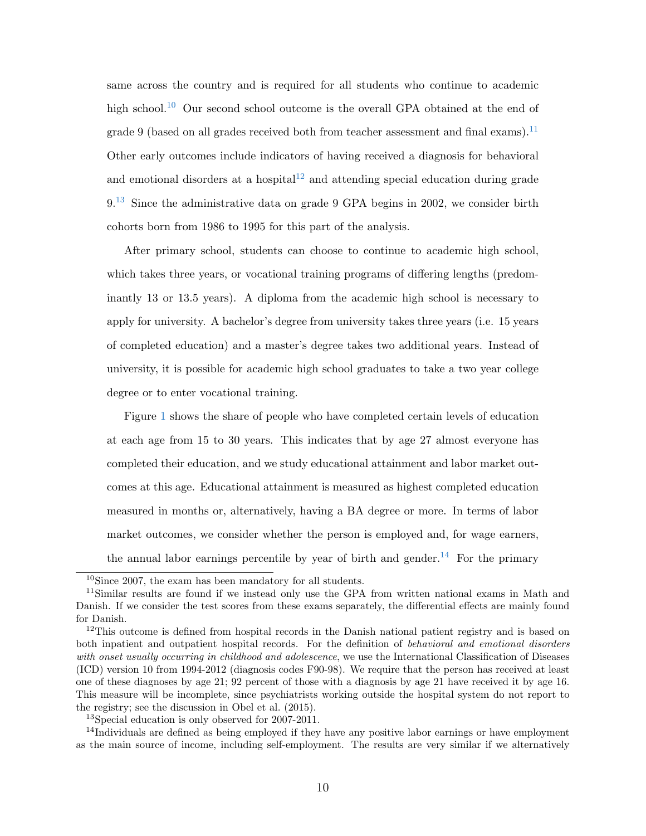same across the country and is required for all students who continue to academic high school.<sup>[10](#page-12-0)</sup> Our second school outcome is the overall GPA obtained at the end of grade 9 (based on all grades received both from teacher assessment and final exams).<sup>[11](#page-12-1)</sup> Other early outcomes include indicators of having received a diagnosis for behavioral and emotional disorders at a hospital $12$  and attending special education during grade 9.[13](#page-12-3) Since the administrative data on grade 9 GPA begins in 2002, we consider birth cohorts born from 1986 to 1995 for this part of the analysis.

After primary school, students can choose to continue to academic high school, which takes three years, or vocational training programs of differing lengths (predominantly 13 or 13.5 years). A diploma from the academic high school is necessary to apply for university. A bachelor's degree from university takes three years (i.e. 15 years of completed education) and a master's degree takes two additional years. Instead of university, it is possible for academic high school graduates to take a two year college degree or to enter vocational training.

Figure [1](#page-13-0) shows the share of people who have completed certain levels of education at each age from 15 to 30 years. This indicates that by age 27 almost everyone has completed their education, and we study educational attainment and labor market outcomes at this age. Educational attainment is measured as highest completed education measured in months or, alternatively, having a BA degree or more. In terms of labor market outcomes, we consider whether the person is employed and, for wage earners, the annual labor earnings percentile by year of birth and gender.<sup>[14](#page-12-4)</sup> For the primary

<span id="page-12-4"></span><span id="page-12-3"></span><sup>13</sup>Special education is only observed for 2007-2011.

<sup>14</sup>Individuals are defined as being employed if they have any positive labor earnings or have employment as the main source of income, including self-employment. The results are very similar if we alternatively

<span id="page-12-1"></span><span id="page-12-0"></span><sup>10</sup>Since 2007, the exam has been mandatory for all students.

<sup>11</sup>Similar results are found if we instead only use the GPA from written national exams in Math and Danish. If we consider the test scores from these exams separately, the differential effects are mainly found for Danish.

<span id="page-12-2"></span><sup>&</sup>lt;sup>12</sup>This outcome is defined from hospital records in the Danish national patient registry and is based on both inpatient and outpatient hospital records. For the definition of behavioral and emotional disorders with onset usually occurring in childhood and adolescence, we use the International Classification of Diseases (ICD) version 10 from 1994-2012 (diagnosis codes F90-98). We require that the person has received at least one of these diagnoses by age 21; 92 percent of those with a diagnosis by age 21 have received it by age 16. This measure will be incomplete, since psychiatrists working outside the hospital system do not report to the registry; see the discussion in [Obel et al.](#page-37-5) [\(2015\)](#page-37-5).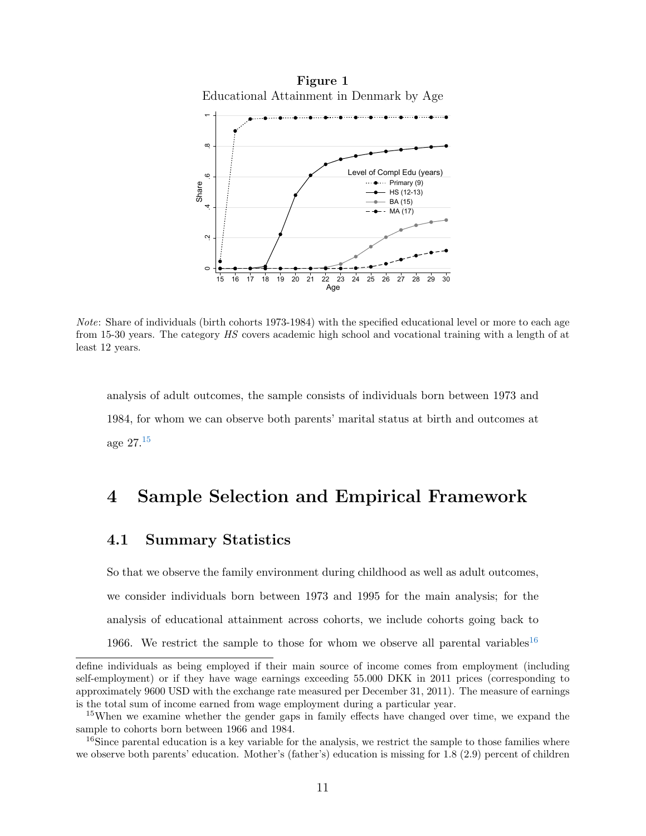Figure 1 Educational Attainment in Denmark by Age

<span id="page-13-0"></span>

Note: Share of individuals (birth cohorts 1973-1984) with the specified educational level or more to each age from 15-30 years. The category HS covers academic high school and vocational training with a length of at least 12 years.

analysis of adult outcomes, the sample consists of individuals born between 1973 and 1984, for whom we can observe both parents' marital status at birth and outcomes at age  $27^{15}$  $27^{15}$  $27^{15}$ 

## 4 Sample Selection and Empirical Framework

#### 4.1 Summary Statistics

So that we observe the family environment during childhood as well as adult outcomes, we consider individuals born between 1973 and 1995 for the main analysis; for the analysis of educational attainment across cohorts, we include cohorts going back to 1966. We restrict the sample to those for whom we observe all parental variables<sup>[16](#page-13-2)</sup>

define individuals as being employed if their main source of income comes from employment (including self-employment) or if they have wage earnings exceeding 55.000 DKK in 2011 prices (corresponding to approximately 9600 USD with the exchange rate measured per December 31, 2011). The measure of earnings is the total sum of income earned from wage employment during a particular year.

<span id="page-13-1"></span><sup>&</sup>lt;sup>15</sup>When we examine whether the gender gaps in family effects have changed over time, we expand the sample to cohorts born between 1966 and 1984.

<span id="page-13-2"></span> $16$ Since parental education is a key variable for the analysis, we restrict the sample to those families where we observe both parents' education. Mother's (father's) education is missing for 1.8 (2.9) percent of children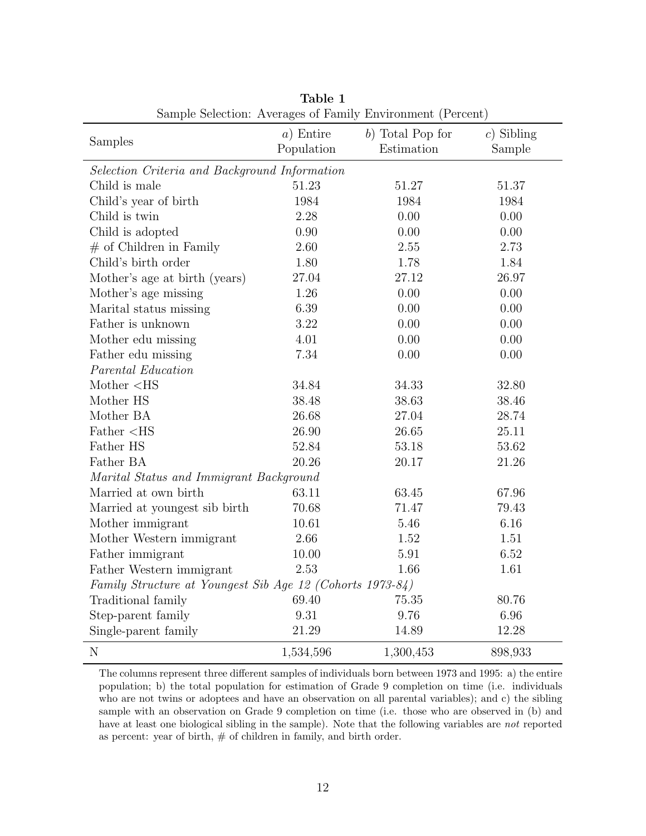<span id="page-14-0"></span>

| Dample Delection. Averages of Pannity Environment (Fercent)        |             |                    |              |
|--------------------------------------------------------------------|-------------|--------------------|--------------|
|                                                                    | $a)$ Entire | $b)$ Total Pop for | $c)$ Sibling |
| Samples                                                            | Population  | Estimation         | Sample       |
| Selection Criteria and Background Information                      |             |                    |              |
| Child is male                                                      | 51.23       | 51.27              | 51.37        |
| Child's year of birth                                              | 1984        | 1984               | 1984         |
| Child is twin                                                      | 2.28        | 0.00               | 0.00         |
| Child is adopted                                                   | 0.90        | 0.00               | 0.00         |
| $#$ of Children in Family                                          | 2.60        | 2.55               | 2.73         |
| Child's birth order                                                | 1.80        | 1.78               | 1.84         |
| Mother's age at birth (years)                                      | 27.04       | 27.12              | 26.97        |
| Mother's age missing                                               | 1.26        | 0.00               | 0.00         |
| Marital status missing                                             | 6.39        | 0.00               | 0.00         |
| Father is unknown                                                  | $3.22\,$    | 0.00               | 0.00         |
| Mother edu missing                                                 | 4.01        | 0.00               | 0.00         |
| Father edu missing                                                 | 7.34        | 0.00               | 0.00         |
| Parental Education                                                 |             |                    |              |
| Mother <hs< td=""><td>34.84</td><td>34.33</td><td>32.80</td></hs<> | 34.84       | 34.33              | 32.80        |
| Mother HS                                                          | 38.48       | 38.63              | 38.46        |
| Mother BA                                                          | 26.68       | 27.04              | 28.74        |
| Father <hs< td=""><td>26.90</td><td>26.65</td><td>25.11</td></hs<> | 26.90       | 26.65              | 25.11        |
| Father HS                                                          | 52.84       | 53.18              | 53.62        |
| Father BA                                                          | 20.26       | 20.17              | 21.26        |
| Marital Status and Immigrant Background                            |             |                    |              |
| Married at own birth                                               | 63.11       | 63.45              | 67.96        |
| Married at youngest sib birth                                      | 70.68       | 71.47              | 79.43        |
| Mother immigrant                                                   | 10.61       | 5.46               | 6.16         |
| Mother Western immigrant                                           | 2.66        | 1.52               | 1.51         |
| Father immigrant                                                   | 10.00       | 5.91               | 6.52         |
| Father Western immigrant                                           | 2.53        | 1.66               | 1.61         |
| Family Structure at Youngest Sib Age 12 (Cohorts 1973-84)          |             |                    |              |
| Traditional family                                                 | 69.40       | 75.35              | 80.76        |
| Step-parent family                                                 | 9.31        | 9.76               | 6.96         |
| Single-parent family                                               | 21.29       | 14.89              | 12.28        |
| N                                                                  | 1,534,596   | 1,300,453          | 898,933      |

Table 1 Sample Selection: Averages of Family Environment (Percent)

The columns represent three different samples of individuals born between 1973 and 1995: a) the entire population; b) the total population for estimation of Grade 9 completion on time (i.e. individuals who are not twins or adoptees and have an observation on all parental variables); and c) the sibling sample with an observation on Grade 9 completion on time (i.e. those who are observed in (b) and have at least one biological sibling in the sample). Note that the following variables are not reported as percent: year of birth,  $\#$  of children in family, and birth order.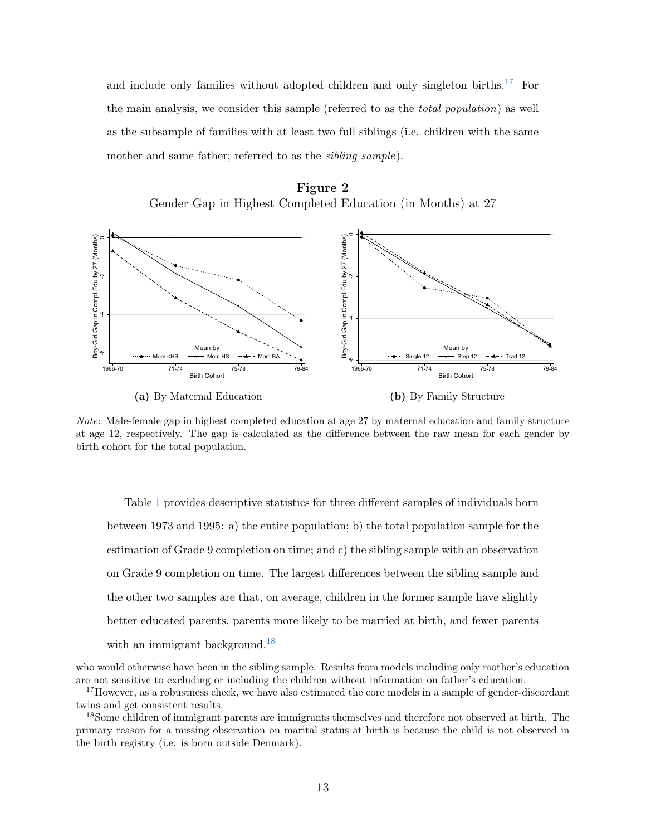and include only families without adopted children and only singleton births.<sup>[17](#page-15-0)</sup> For the main analysis, we consider this sample (referred to as the total population) as well as the subsample of families with at least two full siblings (i.e. children with the same mother and same father; referred to as the *sibling sample*).





Note: Male-female gap in highest completed education at age 27 by maternal education and family structure at age 12, respectively. The gap is calculated as the difference between the raw mean for each gender by birth cohort for the total population.

<span id="page-15-2"></span>Table [1](#page-14-0) provides descriptive statistics for three different samples of individuals born between 1973 and 1995: a) the entire population; b) the total population sample for the estimation of Grade 9 completion on time; and c) the sibling sample with an observation on Grade 9 completion on time. The largest differences between the sibling sample and the other two samples are that, on average, children in the former sample have slightly better educated parents, parents more likely to be married at birth, and fewer parents with an immigrant background.<sup>[18](#page-15-1)</sup>

who would otherwise have been in the sibling sample. Results from models including only mother's education are not sensitive to excluding or including the children without information on father's education.

<span id="page-15-0"></span><sup>&</sup>lt;sup>17</sup>However, as a robustness check, we have also estimated the core models in a sample of gender-discordant twins and get consistent results.

<span id="page-15-1"></span><sup>&</sup>lt;sup>18</sup>Some children of immigrant parents are immigrants themselves and therefore not observed at birth. The primary reason for a missing observation on marital status at birth is because the child is not observed in the birth registry (i.e. is born outside Denmark).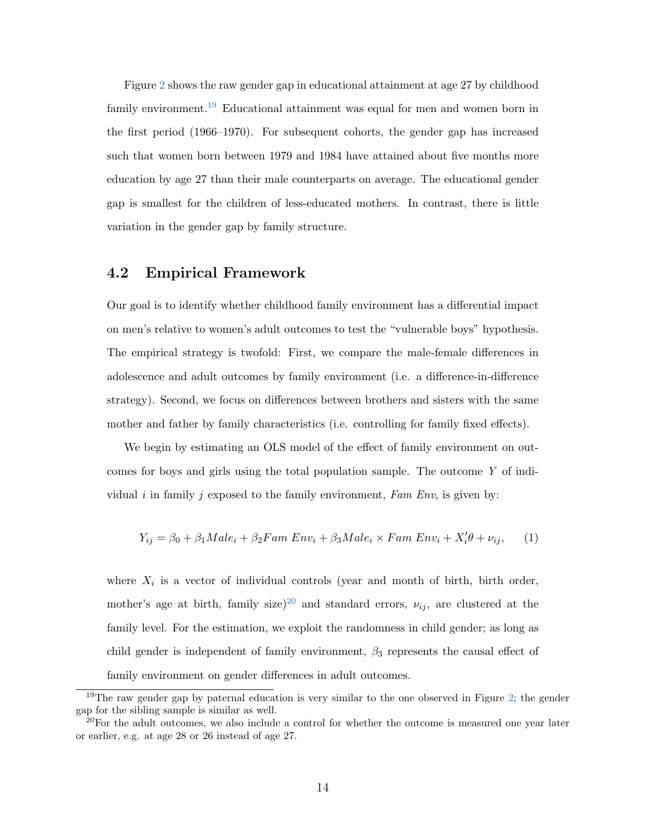Figure [2](#page-15-2) shows the raw gender gap in educational attainment at age 27 by childhood family environment.[19](#page-16-0) Educational attainment was equal for men and women born in the first period (1966–1970). For subsequent cohorts, the gender gap has increased such that women born between 1979 and 1984 have attained about five months more education by age 27 than their male counterparts on average. The educational gender gap is smallest for the children of less-educated mothers. In contrast, there is little variation in the gender gap by family structure.

#### 4.2 Empirical Framework

Our goal is to identify whether childhood family environment has a differential impact on men's relative to women's adult outcomes to test the "vulnerable boys" hypothesis. The empirical strategy is twofold: First, we compare the male-female differences in adolescence and adult outcomes by family environment (i.e. a difference-in-difference strategy). Second, we focus on differences between brothers and sisters with the same mother and father by family characteristics (i.e. controlling for family fixed effects).

We begin by estimating an OLS model of the effect of family environment on outcomes for boys and girls using the total population sample. The outcome Y of individual i in family j exposed to the family environment, Fam Env, is given by:

<span id="page-16-2"></span>
$$
Y_{ij} = \beta_0 + \beta_1 Male_i + \beta_2 Fam\ Env_i + \beta_3 Male_i \times Fam\ Env_i + X_i'\theta + \nu_{ij}, \qquad (1)
$$

where  $X_i$  is a vector of individual controls (year and month of birth, birth order, mother's age at birth, family size)<sup>[20](#page-16-1)</sup> and standard errors,  $\nu_{ij}$ , are clustered at the family level. For the estimation, we exploit the randomness in child gender; as long as child gender is independent of family environment,  $\beta_3$  represents the causal effect of family environment on gender differences in adult outcomes.

<span id="page-16-0"></span><sup>&</sup>lt;sup>19</sup>The raw gender gap by paternal education is very similar to the one observed in Figure [2;](#page-15-2) the gender gap for the sibling sample is similar as well.

<span id="page-16-1"></span> $20$ For the adult outcomes, we also include a control for whether the outcome is measured one year later or earlier, e.g. at age 28 or 26 instead of age 27.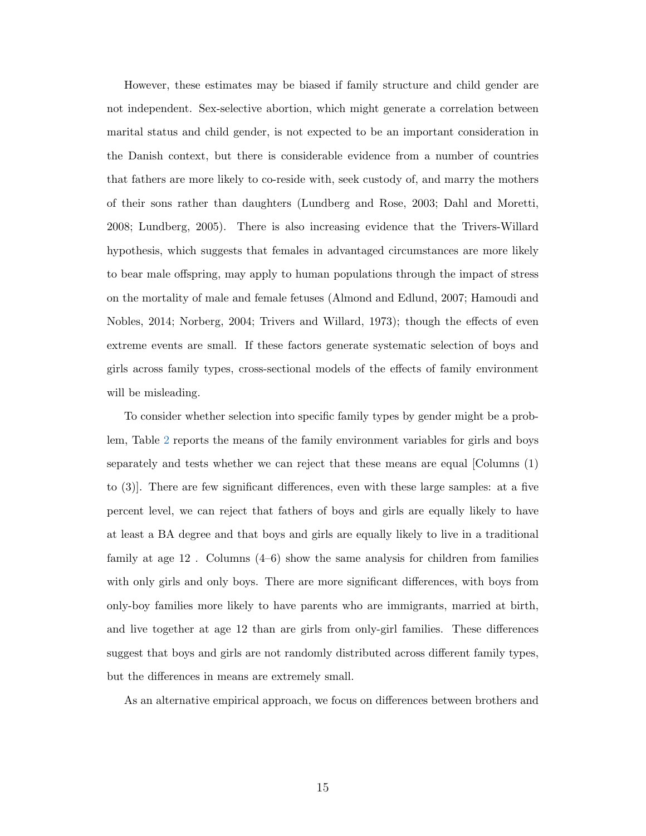However, these estimates may be biased if family structure and child gender are not independent. Sex-selective abortion, which might generate a correlation between marital status and child gender, is not expected to be an important consideration in the Danish context, but there is considerable evidence from a number of countries that fathers are more likely to co-reside with, seek custody of, and marry the mothers of their sons rather than daughters [\(Lundberg and Rose,](#page-37-6) [2003;](#page-37-6) [Dahl and Moretti,](#page-36-9) [2008;](#page-36-9) [Lundberg,](#page-37-7) [2005\)](#page-37-7). There is also increasing evidence that the Trivers-Willard hypothesis, which suggests that females in advantaged circumstances are more likely to bear male offspring, may apply to human populations through the impact of stress on the mortality of male and female fetuses [\(Almond and Edlund,](#page-35-4) [2007;](#page-35-4) [Hamoudi and](#page-36-10) [Nobles,](#page-36-10) [2014;](#page-36-10) [Norberg,](#page-37-8) [2004;](#page-37-8) [Trivers and Willard,](#page-38-2) [1973\)](#page-38-2); though the effects of even extreme events are small. If these factors generate systematic selection of boys and girls across family types, cross-sectional models of the effects of family environment will be misleading.

To consider whether selection into specific family types by gender might be a problem, Table [2](#page-18-0) reports the means of the family environment variables for girls and boys separately and tests whether we can reject that these means are equal [Columns (1) to (3)]. There are few significant differences, even with these large samples: at a five percent level, we can reject that fathers of boys and girls are equally likely to have at least a BA degree and that boys and girls are equally likely to live in a traditional family at age 12 . Columns (4–6) show the same analysis for children from families with only girls and only boys. There are more significant differences, with boys from only-boy families more likely to have parents who are immigrants, married at birth, and live together at age 12 than are girls from only-girl families. These differences suggest that boys and girls are not randomly distributed across different family types, but the differences in means are extremely small.

As an alternative empirical approach, we focus on differences between brothers and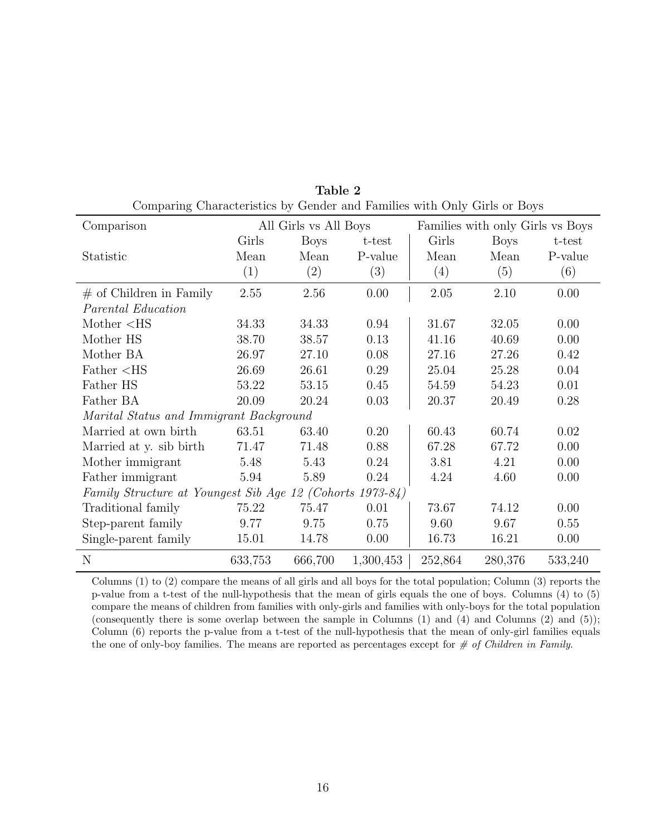<span id="page-18-0"></span>

| Comparison                                                |         | All Girls vs All Boys |           |         | Families with only Girls vs Boys |          |
|-----------------------------------------------------------|---------|-----------------------|-----------|---------|----------------------------------|----------|
|                                                           | Girls   | Boys                  | $t$ -test | Girls   | Boys                             | t-test   |
| Statistic                                                 | Mean    | Mean                  | P-value   | Mean    | Mean                             | P-value  |
|                                                           | (1)     | (2)                   | (3)       | (4)     | (5)                              | (6)      |
| $#$ of Children in Family                                 | 2.55    | 2.56                  | 0.00      | 2.05    | 2.10                             | 0.00     |
| Parental Education                                        |         |                       |           |         |                                  |          |
| Mother $<$ HS                                             | 34.33   | 34.33                 | 0.94      | 31.67   | 32.05                            | 0.00     |
| Mother HS                                                 | 38.70   | 38.57                 | 0.13      | 41.16   | 40.69                            | 0.00     |
| Mother BA                                                 | 26.97   | 27.10                 | 0.08      | 27.16   | 27.26                            | 0.42     |
| $Father <$ HS                                             | 26.69   | 26.61                 | 0.29      | 25.04   | 25.28                            | 0.04     |
| Father HS                                                 | 53.22   | 53.15                 | 0.45      | 54.59   | 54.23                            | 0.01     |
| Father BA                                                 | 20.09   | 20.24                 | 0.03      | 20.37   | 20.49                            | 0.28     |
| Marital Status and Immigrant Background                   |         |                       |           |         |                                  |          |
| Married at own birth                                      | 63.51   | 63.40                 | 0.20      | 60.43   | 60.74                            | $0.02\,$ |
| Married at y. sib birth                                   | 71.47   | 71.48                 | 0.88      | 67.28   | 67.72                            | 0.00     |
| Mother immigrant                                          | 5.48    | 5.43                  | 0.24      | 3.81    | 4.21                             | 0.00     |
| Father immigrant                                          | 5.94    | 5.89                  | 0.24      | 4.24    | 4.60                             | 0.00     |
| Family Structure at Youngest Sib Age 12 (Cohorts 1973-84) |         |                       |           |         |                                  |          |
| Traditional family                                        | 75.22   | 75.47                 | 0.01      | 73.67   | 74.12                            | 0.00     |
| Step-parent family                                        | 9.77    | 9.75                  | 0.75      | 9.60    | 9.67                             | 0.55     |
| Single-parent family                                      | 15.01   | 14.78                 | 0.00      | 16.73   | 16.21                            | 0.00     |
| N                                                         | 633,753 | 666,700               | 1,300,453 | 252,864 | 280,376                          | 533,240  |

Table 2 Comparing Characteristics by Gender and Families with Only Girls or Boys

Columns (1) to (2) compare the means of all girls and all boys for the total population; Column (3) reports the p-value from a t-test of the null-hypothesis that the mean of girls equals the one of boys. Columns (4) to (5) compare the means of children from families with only-girls and families with only-boys for the total population (consequently there is some overlap between the sample in Columns (1) and (4) and Columns (2) and (5)); Column (6) reports the p-value from a t-test of the null-hypothesis that the mean of only-girl families equals the one of only-boy families. The means are reported as percentages except for  $\#$  of Children in Family.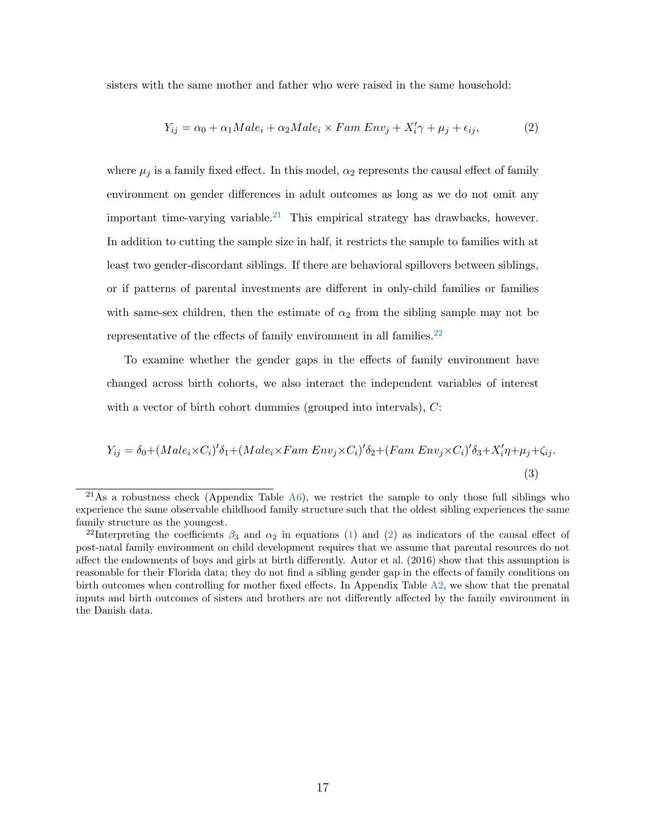sisters with the same mother and father who were raised in the same household:

<span id="page-19-4"></span><span id="page-19-2"></span>
$$
Y_{ij} = \alpha_0 + \alpha_1 Male_i + \alpha_2 Male_i \times Fam\ Env_j + X_i'\gamma + \mu_j + \epsilon_{ij},\tag{2}
$$

where  $\mu_i$  is a family fixed effect. In this model,  $\alpha_2$  represents the causal effect of family environment on gender differences in adult outcomes as long as we do not omit any important time-varying variable.<sup>[21](#page-19-0)</sup> This empirical strategy has drawbacks, however. In addition to cutting the sample size in half, it restricts the sample to families with at least two gender-discordant siblings. If there are behavioral spillovers between siblings, or if patterns of parental investments are different in only-child families or families with same-sex children, then the estimate of  $\alpha_2$  from the sibling sample may not be representative of the effects of family environment in all families. $^{22}$  $^{22}$  $^{22}$ 

To examine whether the gender gaps in the effects of family environment have changed across birth cohorts, we also interact the independent variables of interest with a vector of birth cohort dummies (grouped into intervals),  $C$ :

<span id="page-19-3"></span>
$$
Y_{ij} = \delta_0 + (Male_i \times C_i)' \delta_1 + (Male_i \times Fam \ Env_j \times C_i)' \delta_2 + (Fam \ Env_j \times C_i)' \delta_3 + X_i' \eta + \mu_j + \zeta_{ij}.
$$
\n(3)

<span id="page-19-0"></span><sup>&</sup>lt;sup>21</sup>As a robustness check (Appendix Table  $A_6$ ), we restrict the sample to only those full siblings who experience the same observable childhood family structure such that the oldest sibling experiences the same family structure as the youngest.

<span id="page-19-1"></span><sup>&</sup>lt;sup>22</sup>Interpreting the coefficients  $\beta_3$  and  $\alpha_2$  in equations [\(1\)](#page-16-2) and [\(2\)](#page-19-2) as indicators of the causal effect of post-natal family environment on child development requires that we assume that parental resources do not affect the endowments of boys and girls at birth differently. [Autor et al.](#page-35-2) [\(2016\)](#page-35-2) show that this assumption is reasonable for their Florida data; they do not find a sibling gender gap in the effects of family conditions on birth outcomes when controlling for mother fixed effects. In Appendix Table [A2,](#page-40-0) we show that the prenatal inputs and birth outcomes of sisters and brothers are not differently affected by the family environment in the Danish data.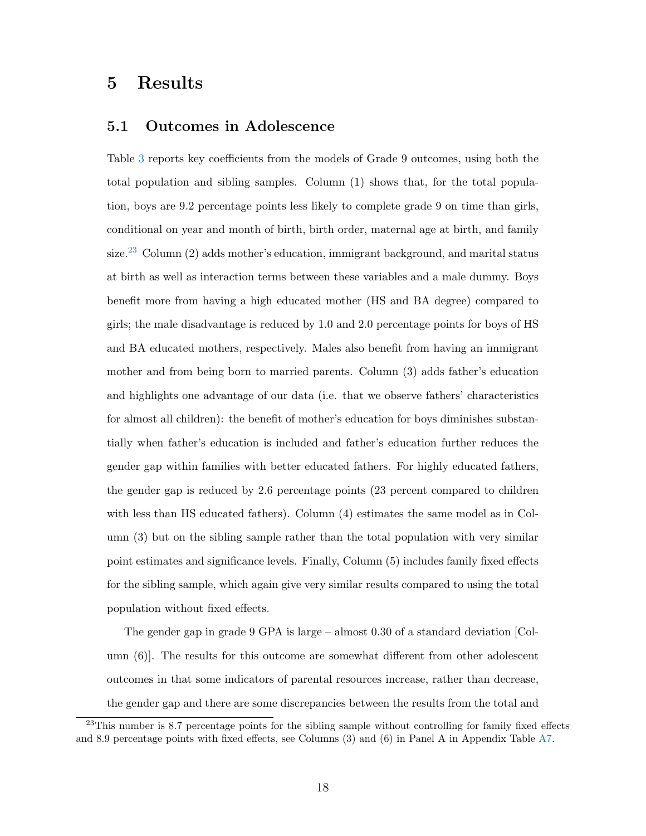## 5 Results

#### 5.1 Outcomes in Adolescence

Table [3](#page-22-0) reports key coefficients from the models of Grade 9 outcomes, using both the total population and sibling samples. Column (1) shows that, for the total population, boys are 9.2 percentage points less likely to complete grade 9 on time than girls, conditional on year and month of birth, birth order, maternal age at birth, and family size.<sup>[23](#page-20-0)</sup> Column  $(2)$  adds mother's education, immigrant background, and marital status at birth as well as interaction terms between these variables and a male dummy. Boys benefit more from having a high educated mother (HS and BA degree) compared to girls; the male disadvantage is reduced by 1.0 and 2.0 percentage points for boys of HS and BA educated mothers, respectively. Males also benefit from having an immigrant mother and from being born to married parents. Column (3) adds father's education and highlights one advantage of our data (i.e. that we observe fathers' characteristics for almost all children): the benefit of mother's education for boys diminishes substantially when father's education is included and father's education further reduces the gender gap within families with better educated fathers. For highly educated fathers, the gender gap is reduced by 2.6 percentage points (23 percent compared to children with less than HS educated fathers). Column (4) estimates the same model as in Column (3) but on the sibling sample rather than the total population with very similar point estimates and significance levels. Finally, Column (5) includes family fixed effects for the sibling sample, which again give very similar results compared to using the total population without fixed effects.

The gender gap in grade 9 GPA is large – almost 0.30 of a standard deviation [Column (6)]. The results for this outcome are somewhat different from other adolescent outcomes in that some indicators of parental resources increase, rather than decrease, the gender gap and there are some discrepancies between the results from the total and

<span id="page-20-0"></span> $^{23}$ This number is 8.7 percentage points for the sibling sample without controlling for family fixed effects and 8.9 percentage points with fixed effects, see Columns (3) and (6) in Panel A in Appendix Table [A7.](#page-45-0)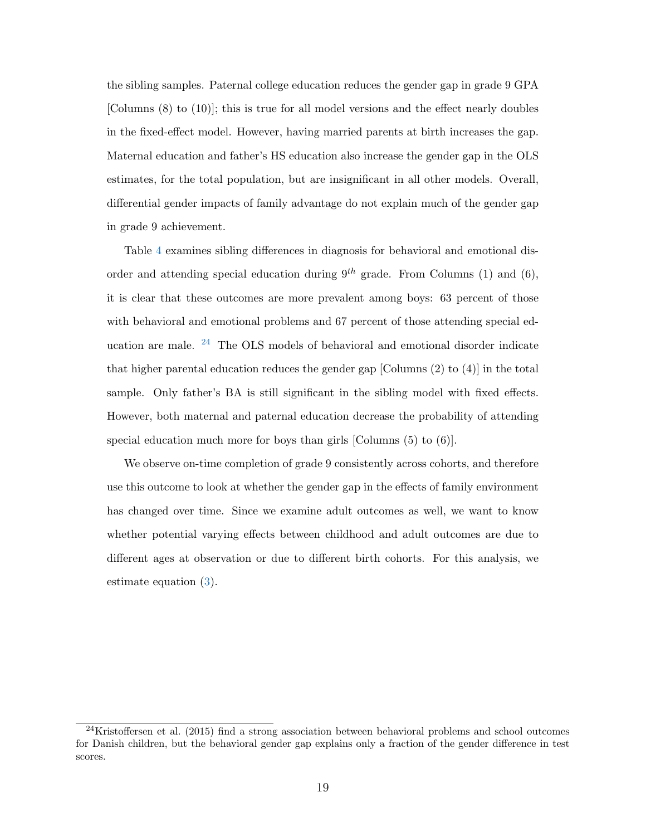the sibling samples. Paternal college education reduces the gender gap in grade 9 GPA [Columns (8) to (10)]; this is true for all model versions and the effect nearly doubles in the fixed-effect model. However, having married parents at birth increases the gap. Maternal education and father's HS education also increase the gender gap in the OLS estimates, for the total population, but are insignificant in all other models. Overall, differential gender impacts of family advantage do not explain much of the gender gap in grade 9 achievement.

Table [4](#page-23-0) examines sibling differences in diagnosis for behavioral and emotional disorder and attending special education during  $9^{th}$  grade. From Columns (1) and (6), it is clear that these outcomes are more prevalent among boys: 63 percent of those with behavioral and emotional problems and 67 percent of those attending special education are male. [24](#page-21-0) The OLS models of behavioral and emotional disorder indicate that higher parental education reduces the gender gap [Columns (2) to (4)] in the total sample. Only father's BA is still significant in the sibling model with fixed effects. However, both maternal and paternal education decrease the probability of attending special education much more for boys than girls [Columns  $(5)$  to  $(6)$ ].

We observe on-time completion of grade 9 consistently across cohorts, and therefore use this outcome to look at whether the gender gap in the effects of family environment has changed over time. Since we examine adult outcomes as well, we want to know whether potential varying effects between childhood and adult outcomes are due to different ages at observation or due to different birth cohorts. For this analysis, we estimate equation [\(3\)](#page-19-3).

<span id="page-21-0"></span> $24$ [Kristoffersen et al.](#page-37-9) [\(2015\)](#page-37-9) find a strong association between behavioral problems and school outcomes for Danish children, but the behavioral gender gap explains only a fraction of the gender difference in test scores.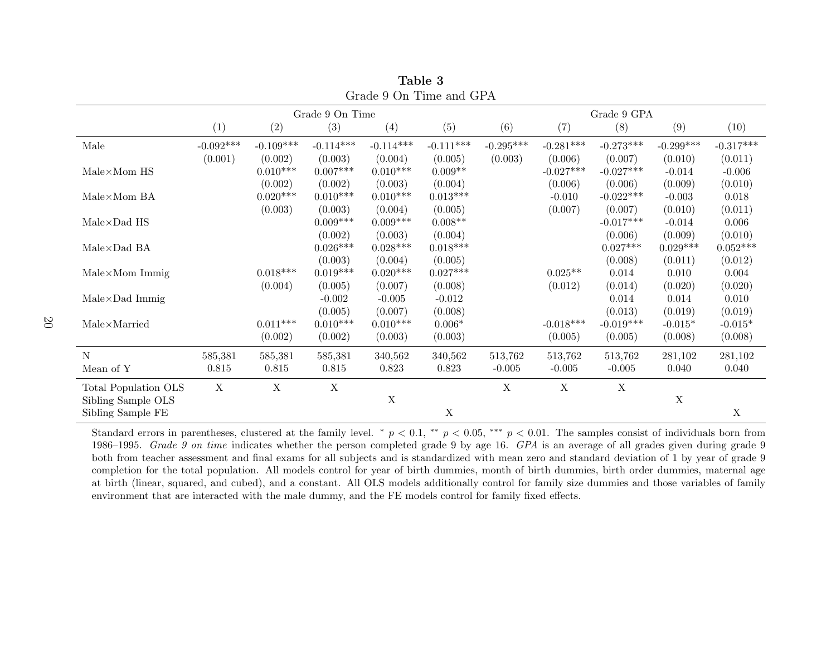|                                          |             |             |                 | Grage a Oil Thing and GLA |             |             |             |                    |             |             |
|------------------------------------------|-------------|-------------|-----------------|---------------------------|-------------|-------------|-------------|--------------------|-------------|-------------|
|                                          |             |             | Grade 9 On Time |                           |             |             |             | Grade $9$ GPA $\,$ |             |             |
|                                          | (1)         | (2)         | (3)             | (4)                       | (5)         | (6)         | (7)         | (8)                | (9)         | (10)        |
| Male                                     | $-0.092***$ | $-0.109***$ | $-0.114***$     | $-0.114***$               | $-0.111***$ | $-0.295***$ | $-0.281***$ | $-0.273***$        | $-0.299***$ | $-0.317***$ |
|                                          | (0.001)     | (0.002)     | (0.003)         | (0.004)                   | (0.005)     | (0.003)     | (0.006)     | (0.007)            | (0.010)     | (0.011)     |
| $\mathrm{Male}\!\times\!\mathrm{Mom}$ HS |             | $0.010***$  | $0.007***$      | $0.010***$                | $0.009**$   |             | $-0.027***$ | $-0.027***$        | $-0.014$    | $-0.006$    |
|                                          |             | (0.002)     | (0.002)         | (0.003)                   | (0.004)     |             | (0.006)     | (0.006)            | (0.009)     | (0.010)     |
| $Male \times Mom$ BA                     |             | $0.020***$  | $0.010***$      | $0.010***$                | $0.013***$  |             | $-0.010$    | $-0.022***$        | $-0.003$    | 0.018       |
|                                          |             | (0.003)     | (0.003)         | (0.004)                   | (0.005)     |             | (0.007)     | (0.007)            | (0.010)     | (0.011)     |
| $Male \times Dad$ HS                     |             |             | $0.009***$      | $0.009***$                | $0.008**$   |             |             | $-0.017***$        | $-0.014$    | 0.006       |
|                                          |             |             | (0.002)         | (0.003)                   | (0.004)     |             |             | (0.006)            | (0.009)     | (0.010)     |
| $\mathrm{Male} {\times} \mathrm{Dad}$ BA |             |             | $0.026^{***}\,$ | $0.028***$                | $0.018***$  |             |             | $0.027***$         | $0.029***$  | $0.052***$  |
|                                          |             |             | (0.003)         | (0.004)                   | (0.005)     |             |             | (0.008)            | (0.011)     | (0.012)     |
| $Male \times Mom$ Immig                  |             | $0.018***$  | $0.019***$      | $0.020***$                | $0.027***$  |             | $0.025**$   | 0.014              | 0.010       | 0.004       |
|                                          |             | (0.004)     | (0.005)         | (0.007)                   | (0.008)     |             | (0.012)     | (0.014)            | (0.020)     | (0.020)     |
| $Male \times Dad$ Immig                  |             |             | $-0.002$        | $-0.005$                  | $-0.012$    |             |             | 0.014              | 0.014       | 0.010       |
|                                          |             |             | (0.005)         | (0.007)                   | (0.008)     |             |             | (0.013)            | (0.019)     | (0.019)     |
| $Male \times \text{Married}$             |             | $0.011***$  | $0.010***$      | $0.010***$                | $0.006*$    |             | $-0.018***$ | $-0.019***$        | $-0.015*$   | $-0.015*$   |
|                                          |             | (0.002)     | (0.002)         | (0.003)                   | (0.003)     |             | (0.005)     | (0.005)            | (0.008)     | (0.008)     |
| ${\rm N}$                                | 585,381     | 585,381     | 585,381         | 340,562                   | 340,562     | 513,762     | 513,762     | 513,762            | 281,102     | 281,102     |
| Mean of Y                                | 0.815       | 0.815       | 0.815           | 0.823                     | 0.823       | $-0.005$    | $-0.005$    | $-0.005$           | 0.040       | 0.040       |
| Total Population OLS                     | $\mathbf X$ | $\mathbf X$ | $\mathbf X$     |                           |             | $\mathbf X$ | $\mathbf X$ | $\mathbf X$        |             |             |
| Sibling Sample OLS                       |             |             |                 | $\mathbf X$               |             |             |             |                    | $\mathbf X$ |             |
| Sibling Sample FE                        |             |             |                 |                           | $\mathbf X$ |             |             |                    |             | X           |

<span id="page-22-0"></span>Table 3Grade 9 On Time and GPA

Standard errors in parentheses, clustered at the family level. \*  $p < 0.1$ , \*\*  $p < 0.05$ , \*\*\*  $p < 0.01$ . The samples consist of individuals born from  $p_1$  and  $p_2$  is the samples consistent of  $p_1$  and  $p_2$  and  $p_3$  a 1986–1995. Grade 9 on time indicates whether the person completed grade 9 by age 16.  $GPA$  is an average of all grades given during grade 9 by  $\frac{1}{2}$ both from teacher assessment and final exams for all subjects and is standardized with mean zero and standard deviation of 1 by year of grade 9 completion for the total population. All models control for year of birth dummies, month of birth dummies, birth order dummies, maternal age at birth (linear, squared, and cubed), and <sup>a</sup> constant. All OLS models additionally control for family size dummies and those variables of familyenvironment that are interacted with the male dummy, and the FE models control for family fixed effects.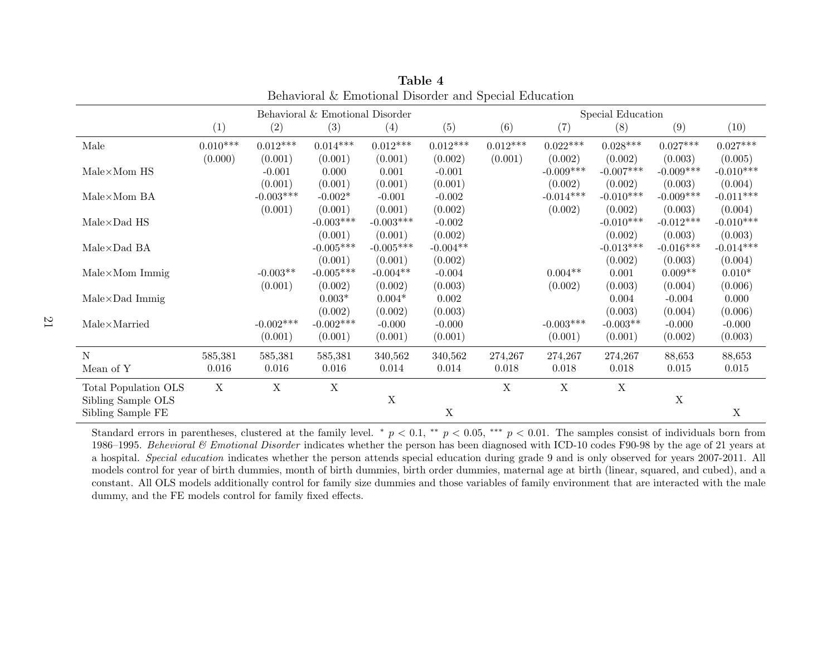|                                     |             |             | Behavioral $\&$ Emotional Disorder |             |            |             |             | Special Education |             |             |
|-------------------------------------|-------------|-------------|------------------------------------|-------------|------------|-------------|-------------|-------------------|-------------|-------------|
|                                     | (1)         | (2)         | (3)                                | (4)         | (5)        | (6)         | (7)         | (8)               | (9)         | (10)        |
| Male                                | $0.010***$  | $0.012***$  | $0.014***$                         | $0.012***$  | $0.012***$ | $0.012***$  | $0.022***$  | $0.028***$        | $0.027***$  | $0.027***$  |
|                                     | (0.000)     | (0.001)     | (0.001)                            | (0.001)     | (0.002)    | (0.001)     | (0.002)     | (0.002)           | (0.003)     | (0.005)     |
| $Male \times Mom$ HS                |             | $-0.001$    | 0.000                              | 0.001       | $-0.001$   |             | $-0.009***$ | $-0.007***$       | $-0.009***$ | $-0.010***$ |
|                                     |             | (0.001)     | (0.001)                            | (0.001)     | (0.001)    |             | (0.002)     | (0.002)           | (0.003)     | (0.004)     |
| $Male \times Mom BA$                |             | $-0.003***$ | $-0.002*$                          | $-0.001$    | $-0.002$   |             | $-0.014***$ | $-0.010***$       | $-0.009***$ | $-0.011***$ |
|                                     |             | (0.001)     | (0.001)                            | (0.001)     | (0.002)    |             | (0.002)     | (0.002)           | (0.003)     | (0.004)     |
| $Male \times Dad$ HS                |             |             | $-0.003***$                        | $-0.003***$ | $-0.002$   |             |             | $-0.010***$       | $-0.012***$ | $-0.010***$ |
|                                     |             |             | (0.001)                            | (0.001)     | (0.002)    |             |             | (0.002)           | (0.003)     | (0.003)     |
| $Male \times Dad$ BA                |             |             | $-0.005***$                        | $-0.005***$ | $-0.004**$ |             |             | $-0.013***$       | $-0.016***$ | $-0.014***$ |
|                                     |             |             | (0.001)                            | (0.001)     | (0.002)    |             |             | (0.002)           | (0.003)     | (0.004)     |
| $Male \times Mom$ Immig             |             | $-0.003**$  | $-0.005***$                        | $-0.004**$  | $-0.004$   |             | $0.004**$   | 0.001             | $0.009**$   | $0.010*$    |
|                                     |             | (0.001)     | (0.002)                            | (0.002)     | (0.003)    |             | (0.002)     | (0.003)           | (0.004)     | (0.006)     |
| $Male \times Dad$ Immig             |             |             | $0.003*$                           | $0.004*$    | 0.002      |             |             | 0.004             | $-0.004$    | 0.000       |
|                                     |             |             | (0.002)                            | (0.002)     | (0.003)    |             |             | (0.003)           | (0.004)     | (0.006)     |
| $\text{Male} \times \text{Married}$ |             | $-0.002***$ | $-0.002***$                        | $-0.000$    | $-0.000$   |             | $-0.003***$ | $-0.003**$        | $-0.000$    | $-0.000$    |
|                                     |             | (0.001)     | (0.001)                            | (0.001)     | (0.001)    |             | (0.001)     | (0.001)           | (0.002)     | (0.003)     |
| N                                   | 585,381     | 585,381     | 585,381                            | 340,562     | 340,562    | 274,267     | 274,267     | 274,267           | 88,653      | 88,653      |
| Mean of Y                           | 0.016       | 0.016       | 0.016                              | 0.014       | 0.014      | 0.018       | 0.018       | 0.018             | 0.015       | 0.015       |
| Total Population OLS                | $\mathbf X$ | $\mathbf X$ | X                                  |             |            | $\mathbf X$ | $\mathbf X$ | $\mathbf X$       |             |             |
| Sibling Sample OLS                  |             |             |                                    | X           |            |             |             |                   | $\mathbf X$ |             |
| Sibling Sample FE                   |             |             |                                    |             | X          |             |             |                   |             | X           |

<span id="page-23-0"></span>Table 4Behavioral & Emotional Disorder and Special Education

Standard errors in parentheses, clustered at the family level. \*  $p < 0.1$ , \*\*  $p < 0.05$ , \*\*\*  $p < 0.01$ . The samples consist of individuals born from 10.6 1005,  $R_1$  with the state of  $\Omega$  are stated at the state of  $\Omega$   $1986–1995$ . *Behevioral*  $\&$  *Emotional Disorder* indicates whether the person has been diagnosed with ICD-10 codes F90-98 by the age of 21 years at a hospital. Special education indicates whether the person attends special education during grade 9 and is only observed for years 2007-2011. All models control for year of birth dummies, month of birth dummies, birth order dummies, maternal age at birth (linear, squared, and cubed), and <sup>a</sup> constant. All OLS models additionally control for family size dummies and those variables of family environment that are interacted with the maledummy, and the FE models control for family fixed effects.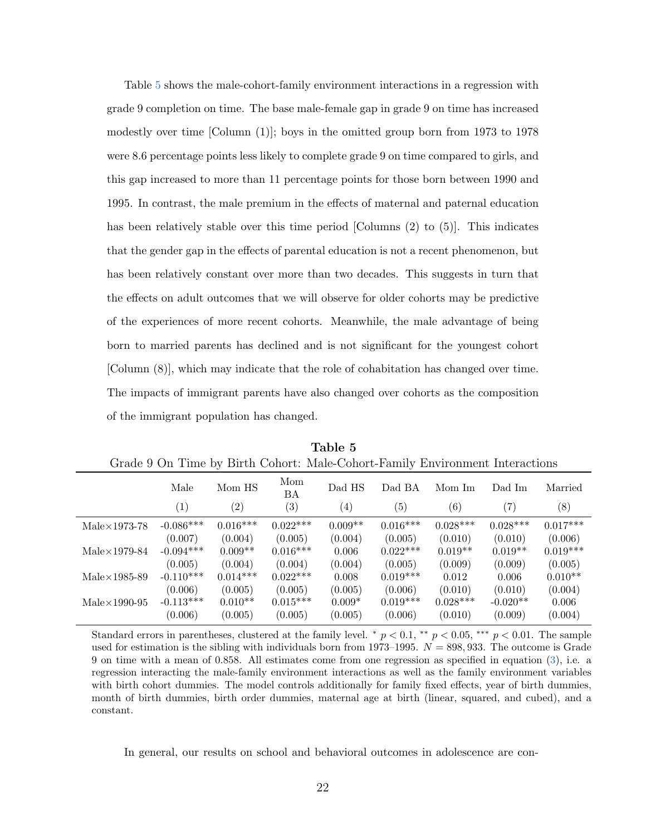Table [5](#page-24-0) shows the male-cohort-family environment interactions in a regression with grade 9 completion on time. The base male-female gap in grade 9 on time has increased modestly over time [Column (1)]; boys in the omitted group born from 1973 to 1978 were 8.6 percentage points less likely to complete grade 9 on time compared to girls, and this gap increased to more than 11 percentage points for those born between 1990 and 1995. In contrast, the male premium in the effects of maternal and paternal education has been relatively stable over this time period [Columns (2) to (5)]. This indicates that the gender gap in the effects of parental education is not a recent phenomenon, but has been relatively constant over more than two decades. This suggests in turn that the effects on adult outcomes that we will observe for older cohorts may be predictive of the experiences of more recent cohorts. Meanwhile, the male advantage of being born to married parents has declined and is not significant for the youngest cohort [Column (8)], which may indicate that the role of cohabitation has changed over time. The impacts of immigrant parents have also changed over cohorts as the composition of the immigrant population has changed.

<span id="page-24-0"></span>

|                   | $\cdot$           |                   |                  | $\cdot$           |                   |                   |            |
|-------------------|-------------------|-------------------|------------------|-------------------|-------------------|-------------------|------------|
| Male              | Mom HS            | Mom<br>ΒA         | Dad HS           | Dad BA            | Mom Im            | Dad Im            | Married    |
| $\left( 1\right)$ | $\left( 2\right)$ | $\left( 3\right)$ | $\left(4\right)$ | $\left( 5\right)$ | $\left( 6\right)$ | $\left( 7\right)$ | (8)        |
| $-0.086***$       | $0.016***$        | $0.022***$        | $0.009**$        | $0.016***$        | $0.028***$        | $0.028***$        | $0.017***$ |
| (0.007)           | (0.004)           | (0.005)           | (0.004)          | (0.005)           | (0.010)           | (0.010)           | (0.006)    |
| $-0.094***$       | $0.009**$         | $0.016***$        | 0.006            | $0.022***$        | $0.019**$         | $0.019**$         | $0.019***$ |
| (0.005)           | (0.004)           | (0.004)           | (0.004)          | (0.005)           | (0.009)           | (0.009)           | (0.005)    |
| $-0.110***$       | $0.014***$        | $0.022***$        | 0.008            | $0.019***$        | 0.012             | 0.006             | $0.010**$  |
| (0.006)           | (0.005)           | (0.005)           | (0.005)          | (0.006)           | (0.010)           | (0.010)           | (0.004)    |
| $-0.113***$       | $0.010**$         | $0.015***$        | $0.009*$         | $0.019***$        | $0.028***$        | $-0.020**$        | 0.006      |
| (0.006)           | (0.005)           | (0.005)           | (0.005)          | (0.006)           | (0.010)           | (0.009)           | (0.004)    |
|                   |                   |                   |                  |                   |                   |                   |            |

Table 5 Grade 9 On Time by Birth Cohort: Male-Cohort-Family Environment Interactions

Standard errors in parentheses, clustered at the family level. \*  $p < 0.1$ , \*\*  $p < 0.05$ , \*\*\*  $p < 0.01$ . The sample used for estimation is the sibling with individuals born from 1973–1995.  $N = 898,933$ . The outcome is Grade 9 on time with a mean of 0.858. All estimates come from one regression as specified in equation [\(3\)](#page-19-3), i.e. a regression interacting the male-family environment interactions as well as the family environment variables with birth cohort dummies. The model controls additionally for family fixed effects, year of birth dummies, month of birth dummies, birth order dummies, maternal age at birth (linear, squared, and cubed), and a constant.

In general, our results on school and behavioral outcomes in adolescence are con-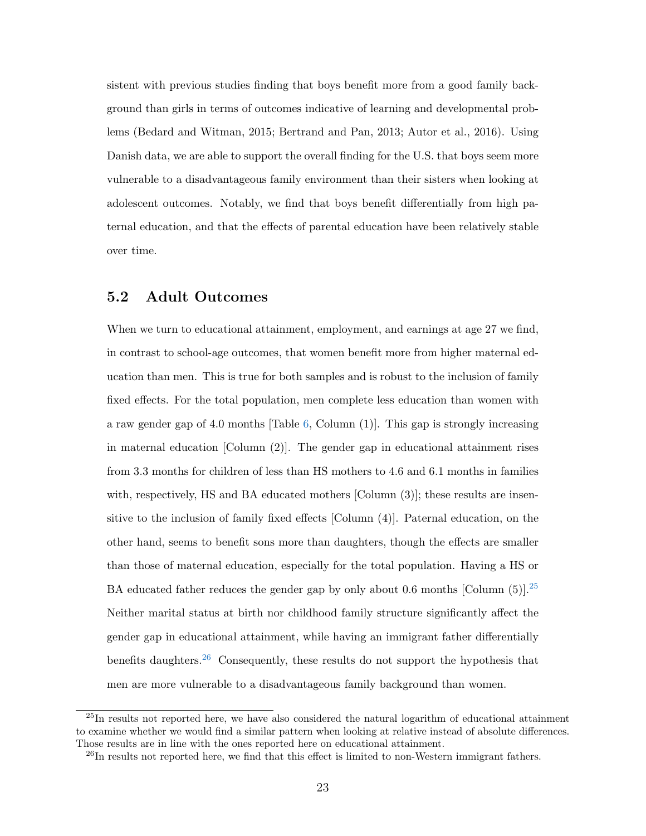sistent with previous studies finding that boys benefit more from a good family background than girls in terms of outcomes indicative of learning and developmental problems [\(Bedard and Witman,](#page-35-5) [2015;](#page-35-5) [Bertrand and Pan,](#page-36-1) [2013;](#page-36-1) [Autor et al.,](#page-35-2) [2016\)](#page-35-2). Using Danish data, we are able to support the overall finding for the U.S. that boys seem more vulnerable to a disadvantageous family environment than their sisters when looking at adolescent outcomes. Notably, we find that boys benefit differentially from high paternal education, and that the effects of parental education have been relatively stable over time.

#### 5.2 Adult Outcomes

When we turn to educational attainment, employment, and earnings at age 27 we find, in contrast to school-age outcomes, that women benefit more from higher maternal education than men. This is true for both samples and is robust to the inclusion of family fixed effects. For the total population, men complete less education than women with a raw gender gap of 4.0 months [Table [6,](#page-26-0) Column (1)]. This gap is strongly increasing in maternal education [Column (2)]. The gender gap in educational attainment rises from 3.3 months for children of less than HS mothers to 4.6 and 6.1 months in families with, respectively, HS and BA educated mothers [Column (3)]; these results are insensitive to the inclusion of family fixed effects [Column (4)]. Paternal education, on the other hand, seems to benefit sons more than daughters, though the effects are smaller than those of maternal education, especially for the total population. Having a HS or BA educated father reduces the gender gap by only about 0.6 months [Column  $(5)$ ].<sup>[25](#page-25-0)</sup> Neither marital status at birth nor childhood family structure significantly affect the gender gap in educational attainment, while having an immigrant father differentially benefits daughters.<sup>[26](#page-25-1)</sup> Consequently, these results do not support the hypothesis that men are more vulnerable to a disadvantageous family background than women.

<span id="page-25-0"></span><sup>25</sup>In results not reported here, we have also considered the natural logarithm of educational attainment to examine whether we would find a similar pattern when looking at relative instead of absolute differences. Those results are in line with the ones reported here on educational attainment.

<span id="page-25-1"></span> $^{26}$ In results not reported here, we find that this effect is limited to non-Western immigrant fathers.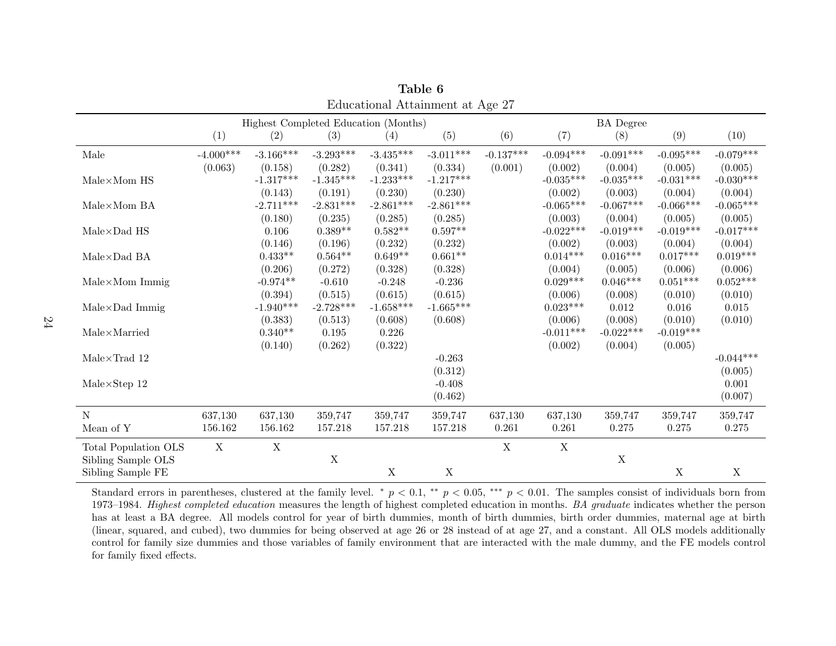|                                           |             |             |             | Highest Completed Education (Months) |             |             |             | <b>BA</b> Degree |             |             |
|-------------------------------------------|-------------|-------------|-------------|--------------------------------------|-------------|-------------|-------------|------------------|-------------|-------------|
|                                           | (1)         | (2)         | (3)         | $\left( 4\right)$                    | (5)         | (6)         | (7)         | (8)              | (9)         | (10)        |
| Male                                      | $-4.000***$ | $-3.166***$ | $-3.293***$ | $-3.435***$                          | $-3.011***$ | $-0.137***$ | $-0.094***$ | $-0.091***$      | $-0.095***$ | $-0.079***$ |
|                                           | (0.063)     | (0.158)     | (0.282)     | (0.341)                              | (0.334)     | (0.001)     | (0.002)     | (0.004)          | (0.005)     | (0.005)     |
| $\mathrm{Male}\!\times\!\mathrm{Mom}$ HS  |             | $-1.317***$ | $-1.345***$ | $-1.233***$                          | $-1.217***$ |             | $-0.035***$ | $-0.035***$      | $-0.031***$ | $-0.030***$ |
|                                           |             | (0.143)     | (0.191)     | (0.230)                              | (0.230)     |             | (0.002)     | (0.003)          | (0.004)     | (0.004)     |
| $Male \times Mom BA$                      |             | $-2.711***$ | $-2.831***$ | $-2.861***$                          | $-2.861***$ |             | $-0.065***$ | $-0.067***$      | $-0.066***$ | $-0.065***$ |
|                                           |             | (0.180)     | (0.235)     | (0.285)                              | (0.285)     |             | (0.003)     | (0.004)          | (0.005)     | (0.005)     |
| $Male \times Dad$ HS                      |             | 0.106       | $0.389**$   | $0.582**$                            | $0.597**$   |             | $-0.022***$ | $-0.019***$      | $-0.019***$ | $-0.017***$ |
|                                           |             | (0.146)     | (0.196)     | (0.232)                              | (0.232)     |             | (0.002)     | (0.003)          | (0.004)     | (0.004)     |
| $Male \times Dad$ BA                      |             | $0.433**$   | $0.564**$   | $0.649**$                            | $0.661**$   |             | $0.014***$  | $0.016***$       | $0.017***$  | $0.019***$  |
|                                           |             | (0.206)     | (0.272)     | (0.328)                              | (0.328)     |             | (0.004)     | (0.005)          | (0.006)     | (0.006)     |
| $Male \times Mom$ Immig                   |             | $-0.974**$  | $-0.610$    | $-0.248$                             | $-0.236$    |             | $0.029***$  | $0.046***$       | $0.051***$  | $0.052***$  |
|                                           |             | (0.394)     | (0.515)     | (0.615)                              | (0.615)     |             | (0.006)     | (0.008)          | (0.010)     | (0.010)     |
| $Male \times Dad$ Immig                   |             | $-1.940***$ | $-2.728***$ | $-1.658***$                          | $-1.665***$ |             | $0.023***$  | 0.012            | 0.016       | 0.015       |
|                                           |             | (0.383)     | (0.513)     | (0.608)                              | (0.608)     |             | (0.006)     | (0.008)          | (0.010)     | (0.010)     |
| $\text{Male} \times \text{Married}$       |             | $0.340**$   | 0.195       | 0.226                                |             |             | $-0.011***$ | $-0.022***$      | $-0.019***$ |             |
|                                           |             | (0.140)     | (0.262)     | (0.322)                              |             |             | (0.002)     | (0.004)          | (0.005)     |             |
| $\mathrm{Male}\!\times\!\mathrm{Trad}$ 12 |             |             |             |                                      | $-0.263$    |             |             |                  |             | $-0.044***$ |
|                                           |             |             |             |                                      | (0.312)     |             |             |                  |             | (0.005)     |
| $Male \times Step 12$                     |             |             |             |                                      | $-0.408$    |             |             |                  |             | 0.001       |
|                                           |             |             |             |                                      | (0.462)     |             |             |                  |             | (0.007)     |
| $\mathbf N$                               | 637,130     | 637,130     | 359,747     | 359,747                              | 359,747     | 637,130     | 637,130     | 359,747          | 359,747     | 359,747     |
| Mean of Y                                 | 156.162     | 156.162     | 157.218     | 157.218                              | 157.218     | 0.261       | 0.261       | 0.275            | 0.275       | 0.275       |
| Total Population OLS                      | X           | $\mathbf X$ |             |                                      |             | X           | X           |                  |             |             |
| Sibling Sample OLS                        |             |             | $\mathbf X$ |                                      |             |             |             | $\mathbf X$      |             |             |
| Sibling Sample FE                         |             |             |             | $\mathbf X$                          | X           |             |             |                  | X           | $\mathbf X$ |

Table 6Educational Attainment at Age 27

<span id="page-26-0"></span>Standard errors in parentheses, clustered at the family level. \*  $p < 0.1$ , \*\*  $p < 0.05$ , \*\*\*  $p < 0.01$ . The samples consist of individuals born from 1973–1984. Highest completed education measures the length of highest completed education in months. BA graduate indicates whether the person has at least <sup>a</sup> BA degree. All models control for year of birth dummies, month of birth dummies, birth order dummies, maternal age at birth (linear, squared, and cubed), two dummies for being observed at age <sup>26</sup> or <sup>28</sup> instead of at age 27, and <sup>a</sup> constant. All OLS models additionally control for family size dummies and those variables of family environment that are interacted with the male dummy, and the FE models controlfor family fixed effects.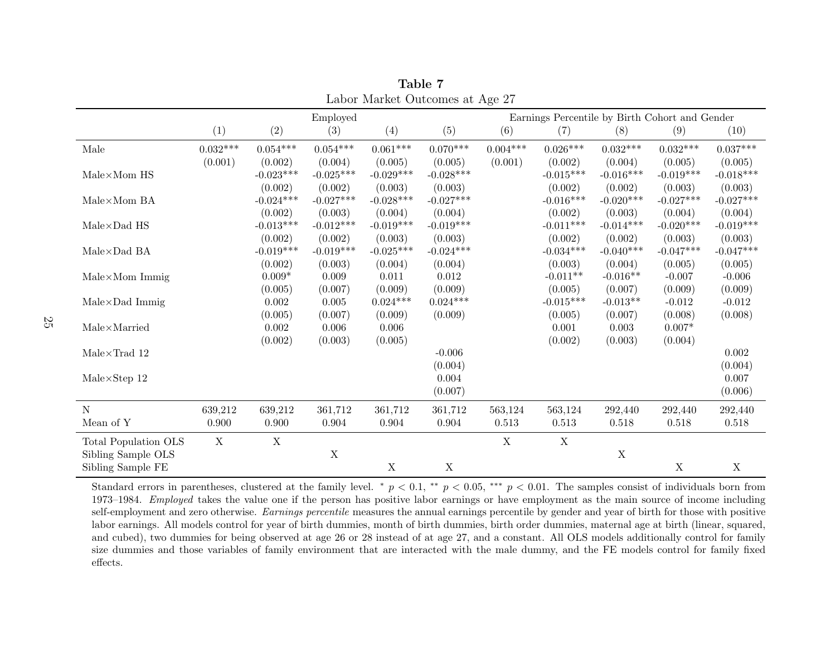|                                          |                 |                        | Employed               |                        |                        | o<br>Earnings Percentile by Birth Cohort and Gender |                             |                        |                        |                        |
|------------------------------------------|-----------------|------------------------|------------------------|------------------------|------------------------|-----------------------------------------------------|-----------------------------|------------------------|------------------------|------------------------|
|                                          | (1)             | (2)                    | (3)                    | (4)                    | (5)                    | (6)                                                 | (7)                         | (8)                    | (9)                    | (10)                   |
| Male                                     | $0.032^{***}\,$ | $0.054***$             | $0.054***$             | $0.061***$             | $0.070***$             | $0.004***$                                          | $0.026***$                  | $0.032***$             | $0.032***$             | $0.037***$             |
| $\mathrm{Male}\!\times\!\mathrm{Mom}$ HS | (0.001)         | (0.002)<br>$-0.023***$ | (0.004)<br>$-0.025***$ | (0.005)<br>$-0.029***$ | (0.005)<br>$-0.028***$ | (0.001)                                             | (0.002)<br>$-0.015***$      | (0.004)<br>$-0.016***$ | (0.005)<br>$-0.019***$ | (0.005)<br>$-0.018***$ |
|                                          |                 | (0.002)                | (0.002)                | (0.003)                | (0.003)                |                                                     | (0.002)                     | (0.002)                | (0.003)                | (0.003)                |
| Male×Mom BA                              |                 | $-0.024***$            | $-0.027***$            | $-0.028***$            | $-0.027***$            |                                                     | $-0.016***$                 | $-0.020***$            | $-0.027***$            | $-0.027***$            |
|                                          |                 | (0.002)                | (0.003)                | (0.004)                | (0.004)                |                                                     | (0.002)                     | (0.003)                | (0.004)                | (0.004)                |
| $Male \times Dad$ HS                     |                 | $-0.013***$            | $-0.012***$            | $-0.019***$            | $-0.019***$            |                                                     | $-0.011***$                 | $-0.014***$            | $-0.020***$            | $-0.019***$            |
|                                          |                 | (0.002)                | (0.002)                | (0.003)                | (0.003)                |                                                     | (0.002)                     | (0.002)                | (0.003)                | (0.003)                |
| $Male \times Dad$ BA                     |                 | $-0.019***$            | $-0.019***$            | $-0.025***$            | $-0.024***$            |                                                     | $-0.034***$                 | $-0.040***$            | $-0.047***$            | $-0.047***$            |
|                                          |                 | (0.002)                | (0.003)                | (0.004)                | (0.004)                |                                                     | (0.003)                     | (0.004)                | (0.005)                | (0.005)                |
| $Male \times Mom$ Immig                  |                 | $0.009*$               | 0.009                  | 0.011                  | 0.012                  |                                                     | $-0.011**$                  | $-0.016**$             | $-0.007$               | $-0.006$               |
| $Male \times Dad$ Immig                  |                 | (0.005)<br>0.002       | (0.007)<br>0.005       | (0.009)<br>$0.024***$  | (0.009)<br>$0.024***$  |                                                     | (0.005)<br>$-0.015^{***}\,$ | (0.007)<br>$-0.013**$  | (0.009)<br>$-0.012$    | (0.009)<br>$-0.012$    |
|                                          |                 | (0.005)                | (0.007)                | (0.009)                | (0.009)                |                                                     | (0.005)                     | (0.007)                | (0.008)                | (0.008)                |
| $Male \times \text{Married}$             |                 | 0.002                  | 0.006                  | 0.006                  |                        |                                                     | 0.001                       | 0.003                  | $0.007*$               |                        |
|                                          |                 | (0.002)                | (0.003)                | (0.005)                |                        |                                                     | (0.002)                     | (0.003)                | (0.004)                |                        |
| $Male \times Trad$ 12                    |                 |                        |                        |                        | $-0.006$               |                                                     |                             |                        |                        | 0.002                  |
|                                          |                 |                        |                        |                        | (0.004)                |                                                     |                             |                        |                        | (0.004)                |
| $Male \times Step 12$                    |                 |                        |                        |                        | 0.004                  |                                                     |                             |                        |                        | 0.007                  |
|                                          |                 |                        |                        |                        | (0.007)                |                                                     |                             |                        |                        | (0.006)                |
| N                                        | 639,212         | 639,212                | 361,712                | 361,712                | 361,712                | 563,124                                             | 563,124                     | 292,440                | 292,440                | 292,440                |
| Mean of Y                                | 0.900           | 0.900                  | 0.904                  | 0.904                  | 0.904                  | 0.513                                               | 0.513                       | 0.518                  | 0.518                  | 0.518                  |
| Total Population OLS                     | $\mathbf X$     | X                      |                        |                        |                        | X                                                   | X                           |                        |                        |                        |
| Sibling Sample OLS                       |                 |                        | $\mathbf X$            |                        |                        |                                                     |                             | $\mathbf X$            |                        |                        |
| Sibling Sample FE                        |                 |                        |                        | $\mathbf X$            | $\mathbf X$            |                                                     |                             |                        | X                      | $\mathbf X$            |

Table 7Labor Market Outcomes at Age 27

<span id="page-27-0"></span>Standard errors in parentheses, clustered at the family level. <sup>\*</sup>  $p < 0.1$ , <sup>\*\*</sup>  $p < 0.05$ , \*\*\*  $p < 0.01$ . The samples consist of individuals born from 1973–1984. *Employed* takes the value one if the person has positive labor earnings or have employment as the main source of income including self-employment and zero otherwise. *Earnings percentile* measures the annual earnings percentile by gender and year of birth for those with positive labor earnings. All models control for year of birth dummies, month of birth dummies, birth order dummies, maternal age at birth (linear, squared, and cubed), two dummies for being observed at age <sup>26</sup> or <sup>28</sup> instead of at age 27, and <sup>a</sup> constant. All OLS models additionally control for family size dummies and those variables of family environment that are interacted with the male dummy, and the FE models control for family fixedeffects.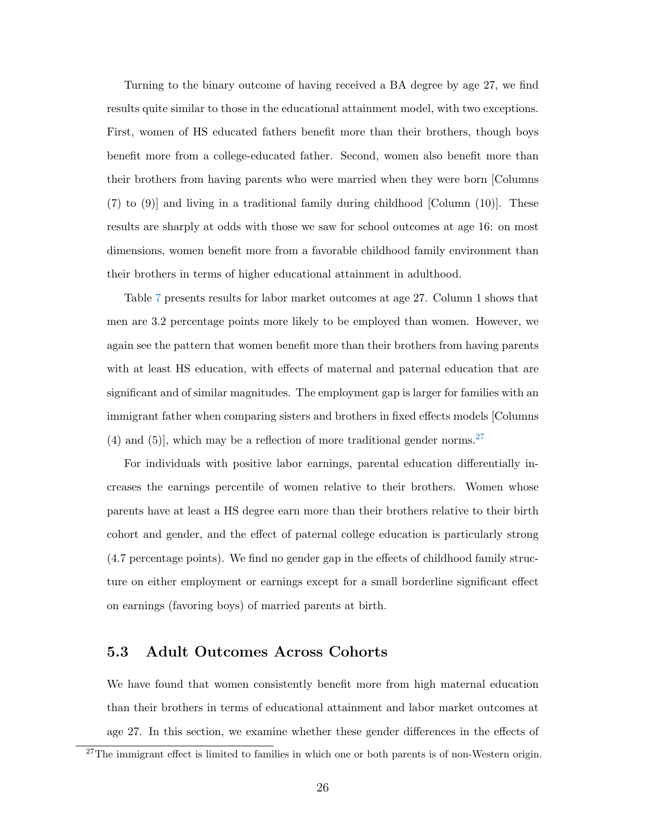Turning to the binary outcome of having received a BA degree by age 27, we find results quite similar to those in the educational attainment model, with two exceptions. First, women of HS educated fathers benefit more than their brothers, though boys benefit more from a college-educated father. Second, women also benefit more than their brothers from having parents who were married when they were born [Columns (7) to (9)] and living in a traditional family during childhood [Column (10)]. These results are sharply at odds with those we saw for school outcomes at age 16: on most dimensions, women benefit more from a favorable childhood family environment than their brothers in terms of higher educational attainment in adulthood.

Table [7](#page-27-0) presents results for labor market outcomes at age 27. Column 1 shows that men are 3.2 percentage points more likely to be employed than women. However, we again see the pattern that women benefit more than their brothers from having parents with at least HS education, with effects of maternal and paternal education that are significant and of similar magnitudes. The employment gap is larger for families with an immigrant father when comparing sisters and brothers in fixed effects models [Columns (4) and (5), which may be a reflection of more traditional gender norms.<sup>[27](#page-28-0)</sup>

For individuals with positive labor earnings, parental education differentially increases the earnings percentile of women relative to their brothers. Women whose parents have at least a HS degree earn more than their brothers relative to their birth cohort and gender, and the effect of paternal college education is particularly strong (4.7 percentage points). We find no gender gap in the effects of childhood family structure on either employment or earnings except for a small borderline significant effect on earnings (favoring boys) of married parents at birth.

#### 5.3 Adult Outcomes Across Cohorts

We have found that women consistently benefit more from high maternal education than their brothers in terms of educational attainment and labor market outcomes at age 27. In this section, we examine whether these gender differences in the effects of

<span id="page-28-0"></span> $27$ The immigrant effect is limited to families in which one or both parents is of non-Western origin.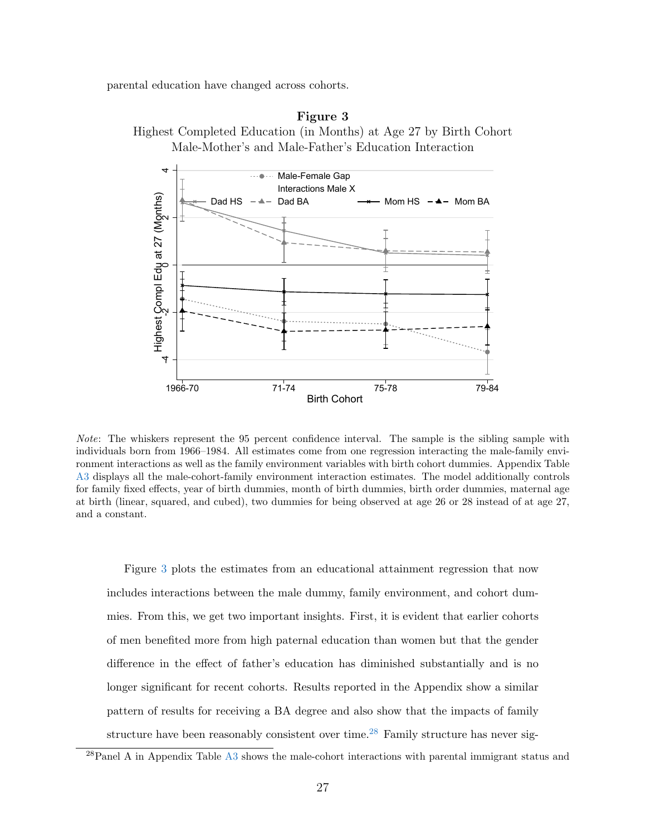<span id="page-29-0"></span>parental education have changed across cohorts.





Note: The whiskers represent the 95 percent confidence interval. The sample is the sibling sample with individuals born from 1966–1984. All estimates come from one regression interacting the male-family environment interactions as well as the family environment variables with birth cohort dummies. Appendix Table [A3](#page-41-0) displays all the male-cohort-family environment interaction estimates. The model additionally controls for family fixed effects, year of birth dummies, month of birth dummies, birth order dummies, maternal age at birth (linear, squared, and cubed), two dummies for being observed at age 26 or 28 instead of at age 27, and a constant.

Figure [3](#page-29-0) plots the estimates from an educational attainment regression that now includes interactions between the male dummy, family environment, and cohort dummies. From this, we get two important insights. First, it is evident that earlier cohorts of men benefited more from high paternal education than women but that the gender difference in the effect of father's education has diminished substantially and is no longer significant for recent cohorts. Results reported in the Appendix show a similar pattern of results for receiving a BA degree and also show that the impacts of family structure have been reasonably consistent over time.<sup>[28](#page-29-1)</sup> Family structure has never sig-

<span id="page-29-1"></span> $^{28}$ Panel A in Appendix Table [A3](#page-41-0) shows the male-cohort interactions with parental immigrant status and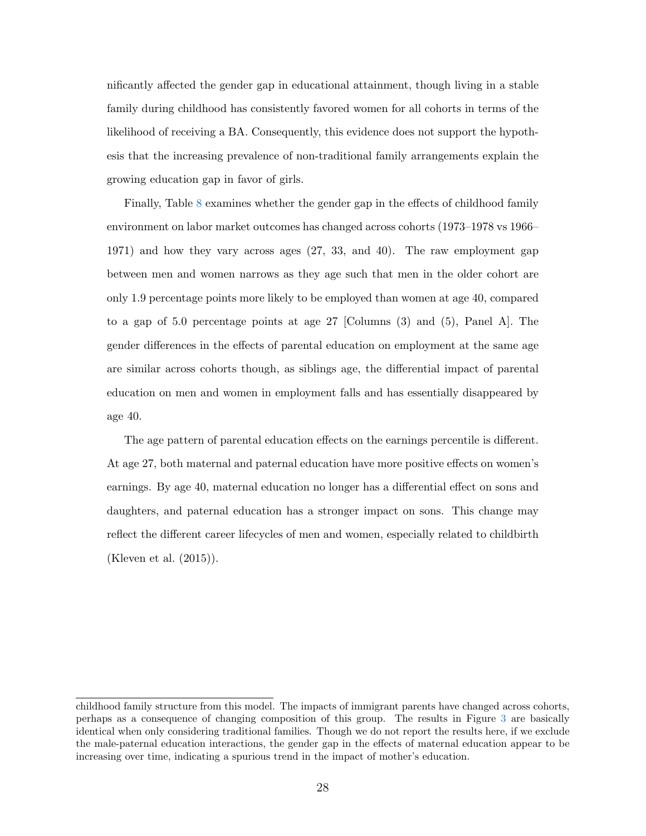nificantly affected the gender gap in educational attainment, though living in a stable family during childhood has consistently favored women for all cohorts in terms of the likelihood of receiving a BA. Consequently, this evidence does not support the hypothesis that the increasing prevalence of non-traditional family arrangements explain the growing education gap in favor of girls.

Finally, Table [8](#page-31-0) examines whether the gender gap in the effects of childhood family environment on labor market outcomes has changed across cohorts (1973–1978 vs 1966– 1971) and how they vary across ages (27, 33, and 40). The raw employment gap between men and women narrows as they age such that men in the older cohort are only 1.9 percentage points more likely to be employed than women at age 40, compared to a gap of 5.0 percentage points at age 27 [Columns (3) and (5), Panel A]. The gender differences in the effects of parental education on employment at the same age are similar across cohorts though, as siblings age, the differential impact of parental education on men and women in employment falls and has essentially disappeared by age 40.

The age pattern of parental education effects on the earnings percentile is different. At age 27, both maternal and paternal education have more positive effects on women's earnings. By age 40, maternal education no longer has a differential effect on sons and daughters, and paternal education has a stronger impact on sons. This change may reflect the different career lifecycles of men and women, especially related to childbirth [\(Kleven et al.](#page-37-10) [\(2015\)](#page-37-10)).

childhood family structure from this model. The impacts of immigrant parents have changed across cohorts, perhaps as a consequence of changing composition of this group. The results in Figure [3](#page-29-0) are basically identical when only considering traditional families. Though we do not report the results here, if we exclude the male-paternal education interactions, the gender gap in the effects of maternal education appear to be increasing over time, indicating a spurious trend in the impact of mother's education.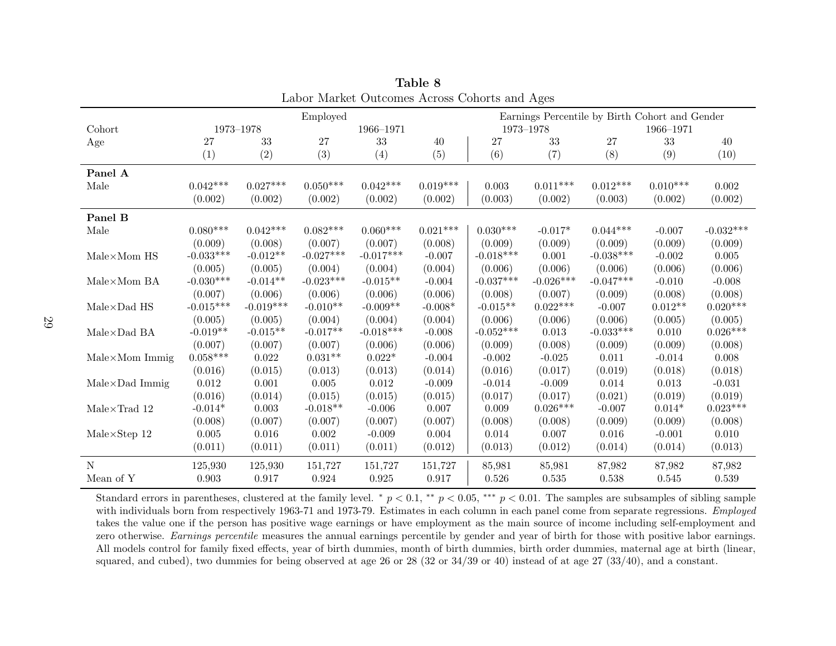| Labor Market Outcomes Across Conorts and Ages |                 |               |             |             |            |                                                |             |             |            |             |  |
|-----------------------------------------------|-----------------|---------------|-------------|-------------|------------|------------------------------------------------|-------------|-------------|------------|-------------|--|
|                                               |                 |               | Employed    |             |            | Earnings Percentile by Birth Cohort and Gender |             |             |            |             |  |
| Cohort                                        |                 | $1973 - 1978$ |             | 1966-1971   |            | 1973-1978                                      |             |             | 1966-1971  |             |  |
| Age                                           | 27              | 33            | 27          | 33          | 40         | 27                                             | 33          | 27          | 33         | 40          |  |
|                                               | (1)             | (2)           | (3)         | (4)         | (5)        | (6)                                            | (7)         | (8)         | (9)        | (10)        |  |
| Panel A                                       |                 |               |             |             |            |                                                |             |             |            |             |  |
| Male                                          | $0.042***$      | $0.027***$    | $0.050***$  | $0.042***$  | $0.019***$ | 0.003                                          | $0.011***$  | $0.012***$  | $0.010***$ | 0.002       |  |
|                                               | (0.002)         | (0.002)       | (0.002)     | (0.002)     | (0.002)    | (0.003)                                        | (0.002)     | (0.003)     | (0.002)    | (0.002)     |  |
| Panel B                                       |                 |               |             |             |            |                                                |             |             |            |             |  |
| Male                                          | $0.080^{***}\,$ | $0.042***$    | $0.082***$  | $0.060***$  | $0.021***$ | $0.030***$                                     | $-0.017*$   | $0.044***$  | $-0.007$   | $-0.032***$ |  |
|                                               | (0.009)         | (0.008)       | (0.007)     | (0.007)     | (0.008)    | (0.009)                                        | (0.009)     | (0.009)     | (0.009)    | (0.009)     |  |
| Male×Mom HS                                   | $-0.033***$     | $-0.012**$    | $-0.027***$ | $-0.017***$ | $-0.007$   | $-0.018***$                                    | 0.001       | $-0.038***$ | $-0.002$   | $\,0.005\,$ |  |
|                                               | (0.005)         | (0.005)       | (0.004)     | (0.004)     | (0.004)    | (0.006)                                        | (0.006)     | (0.006)     | (0.006)    | (0.006)     |  |
| $Male \times Mom$ BA                          | $-0.030***$     | $-0.014**$    | $-0.023***$ | $-0.015**$  | $-0.004$   | $-0.037***$                                    | $-0.026***$ | $-0.047***$ | $-0.010$   | $-0.008$    |  |
|                                               | (0.007)         | (0.006)       | (0.006)     | (0.006)     | (0.006)    | (0.008)                                        | (0.007)     | (0.009)     | (0.008)    | (0.008)     |  |
| $Male \times Dad$ HS                          | $-0.015***$     | $-0.019***$   | $-0.010**$  | $-0.009**$  | $-0.008*$  | $-0.015**$                                     | $0.022***$  | $-0.007$    | $0.012**$  | $0.020***$  |  |
|                                               | (0.005)         | (0.005)       | (0.004)     | (0.004)     | (0.004)    | (0.006)                                        | (0.006)     | (0.006)     | (0.005)    | (0.005)     |  |
| $Male \times Dad$ BA                          | $-0.019**$      | $-0.015**$    | $-0.017**$  | $-0.018***$ | $-0.008$   | $-0.052***$                                    | $\,0.013\,$ | $-0.033***$ | 0.010      | $0.026***$  |  |
|                                               | (0.007)         | (0.007)       | (0.007)     | (0.006)     | (0.006)    | (0.009)                                        | (0.008)     | (0.009)     | (0.009)    | (0.008)     |  |
| $Male \times Mom$ Immig                       | $0.058***$      | 0.022         | $0.031**$   | $0.022*$    | $-0.004$   | $-0.002$                                       | $-0.025$    | 0.011       | $-0.014$   | 0.008       |  |
|                                               | (0.016)         | (0.015)       | (0.013)     | (0.013)     | (0.014)    | (0.016)                                        | (0.017)     | (0.019)     | (0.018)    | (0.018)     |  |
| $Male \times Dad$ Immig                       | 0.012           | 0.001         | 0.005       | 0.012       | $-0.009$   | $-0.014$                                       | $-0.009$    | 0.014       | 0.013      | $-0.031$    |  |
|                                               | (0.016)         | (0.014)       | (0.015)     | (0.015)     | (0.015)    | (0.017)                                        | (0.017)     | (0.021)     | (0.019)    | (0.019)     |  |
| $Male\times Trad$ 12                          | $-0.014*$       | 0.003         | $-0.018**$  | $-0.006$    | 0.007      | 0.009                                          | $0.026***$  | $-0.007$    | $0.014*$   | $0.023***$  |  |
|                                               | (0.008)         | (0.007)       | (0.007)     | (0.007)     | (0.007)    | (0.008)                                        | (0.008)     | (0.009)     | (0.009)    | (0.008)     |  |
| $Male \times Step 12$                         | 0.005           | 0.016         | 0.002       | $-0.009$    | 0.004      | 0.014                                          | 0.007       | 0.016       | $-0.001$   | 0.010       |  |
|                                               | (0.011)         | (0.011)       | (0.011)     | (0.011)     | (0.012)    | (0.013)                                        | (0.012)     | (0.014)     | (0.014)    | (0.013)     |  |
| N                                             | 125,930         | 125,930       | 151,727     | 151,727     | 151,727    | 85,981                                         | 85,981      | 87,982      | 87,982     | 87,982      |  |
| Mean of Y                                     | 0.903           | 0.917         | 0.924       | 0.925       | 0.917      | 0.526                                          | 0.535       | 0.538       | 0.545      | 0.539       |  |

Table 8Labor Market Outcomes Across Cohorts and Ages

<span id="page-31-0"></span>Standard errors in parentheses, clustered at the family level. \*  $p < 0.1$ , \*\*  $p < 0.05$ , \*\*\*  $p < 0.01$ . The samples are subsamples of sibling sample with individuals born from respectively 1963-71 and 1973-79. Estimates in each column in each panel come from separate regressions. *Employed*  takes the value one if the person has positive wage earnings or have employment as the main source of income including self-employment andzero otherwise. *Earnings percentile* measures the annual earnings percentile by gender and year of birth for those with positive labor earnings. All models control for family fixed effects, year of birth dummies, month of birth dummies, birth order dummies, maternal age at birth (linear,squared, and cubed), two dummies for being observed at age <sup>26</sup> or <sup>28</sup> (32 or 34/39 or 40) instead of at age <sup>27</sup> (33/40), and <sup>a</sup> constant.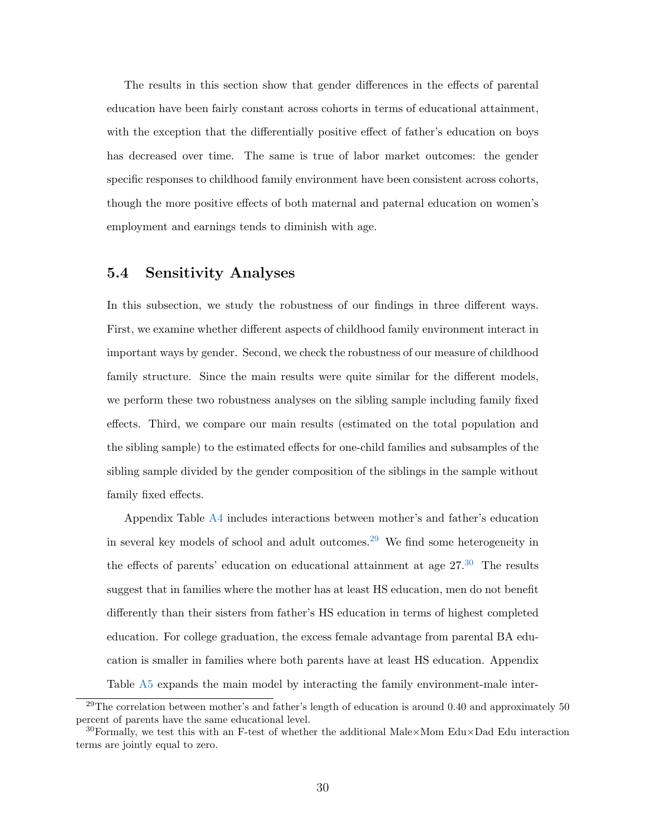The results in this section show that gender differences in the effects of parental education have been fairly constant across cohorts in terms of educational attainment, with the exception that the differentially positive effect of father's education on boys has decreased over time. The same is true of labor market outcomes: the gender specific responses to childhood family environment have been consistent across cohorts, though the more positive effects of both maternal and paternal education on women's employment and earnings tends to diminish with age.

#### 5.4 Sensitivity Analyses

In this subsection, we study the robustness of our findings in three different ways. First, we examine whether different aspects of childhood family environment interact in important ways by gender. Second, we check the robustness of our measure of childhood family structure. Since the main results were quite similar for the different models, we perform these two robustness analyses on the sibling sample including family fixed effects. Third, we compare our main results (estimated on the total population and the sibling sample) to the estimated effects for one-child families and subsamples of the sibling sample divided by the gender composition of the siblings in the sample without family fixed effects.

Appendix Table [A4](#page-42-0) includes interactions between mother's and father's education in several key models of school and adult outcomes.[29](#page-32-0) We find some heterogeneity in the effects of parents' education on educational attainment at age  $27<sup>30</sup>$  $27<sup>30</sup>$  $27<sup>30</sup>$ . The results suggest that in families where the mother has at least HS education, men do not benefit differently than their sisters from father's HS education in terms of highest completed education. For college graduation, the excess female advantage from parental BA education is smaller in families where both parents have at least HS education. Appendix Table [A5](#page-43-0) expands the main model by interacting the family environment-male inter-

<span id="page-32-0"></span> $^{29}$ The correlation between mother's and father's length of education is around 0.40 and approximately 50 percent of parents have the same educational level.

<span id="page-32-1"></span><sup>&</sup>lt;sup>30</sup>Formally, we test this with an F-test of whether the additional Male×Mom Edu×Dad Edu interaction terms are jointly equal to zero.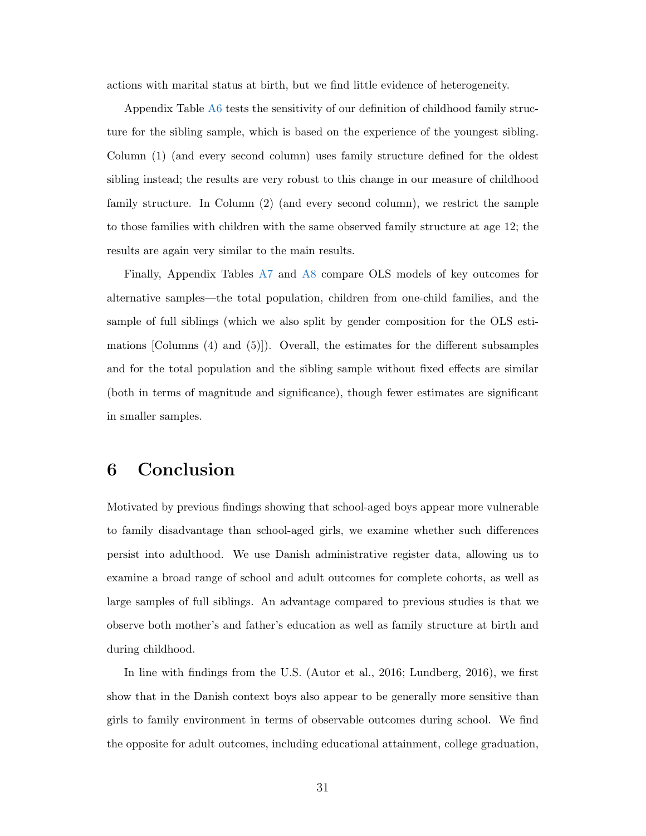actions with marital status at birth, but we find little evidence of heterogeneity.

Appendix Table [A6](#page-44-0) tests the sensitivity of our definition of childhood family structure for the sibling sample, which is based on the experience of the youngest sibling. Column (1) (and every second column) uses family structure defined for the oldest sibling instead; the results are very robust to this change in our measure of childhood family structure. In Column (2) (and every second column), we restrict the sample to those families with children with the same observed family structure at age 12; the results are again very similar to the main results.

Finally, Appendix Tables [A7](#page-45-0) and [A8](#page-46-0) compare OLS models of key outcomes for alternative samples—the total population, children from one-child families, and the sample of full siblings (which we also split by gender composition for the OLS estimations [Columns (4) and (5)]). Overall, the estimates for the different subsamples and for the total population and the sibling sample without fixed effects are similar (both in terms of magnitude and significance), though fewer estimates are significant in smaller samples.

## 6 Conclusion

Motivated by previous findings showing that school-aged boys appear more vulnerable to family disadvantage than school-aged girls, we examine whether such differences persist into adulthood. We use Danish administrative register data, allowing us to examine a broad range of school and adult outcomes for complete cohorts, as well as large samples of full siblings. An advantage compared to previous studies is that we observe both mother's and father's education as well as family structure at birth and during childhood.

In line with findings from the U.S. [\(Autor et al.,](#page-35-2) [2016;](#page-35-2) [Lundberg,](#page-37-1) [2016\)](#page-37-1), we first show that in the Danish context boys also appear to be generally more sensitive than girls to family environment in terms of observable outcomes during school. We find the opposite for adult outcomes, including educational attainment, college graduation,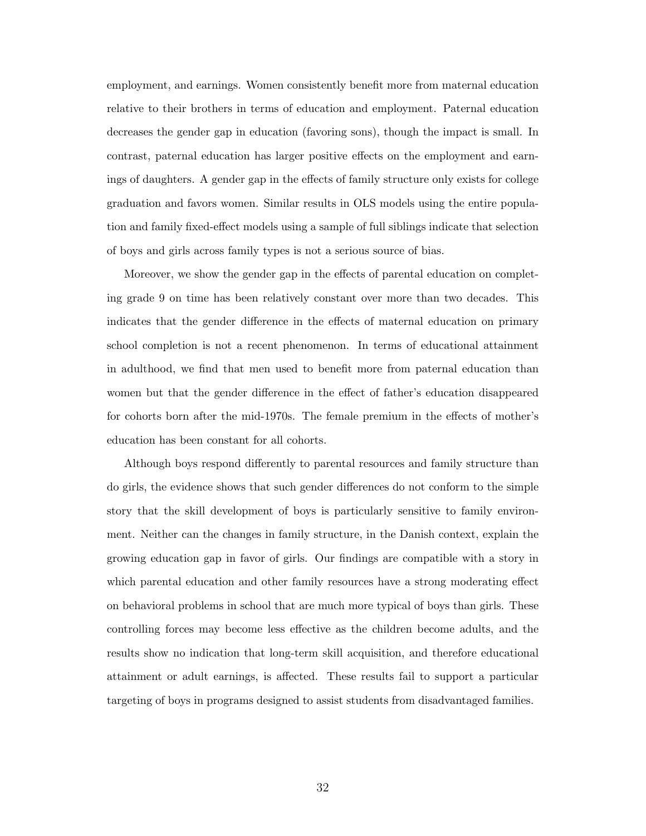employment, and earnings. Women consistently benefit more from maternal education relative to their brothers in terms of education and employment. Paternal education decreases the gender gap in education (favoring sons), though the impact is small. In contrast, paternal education has larger positive effects on the employment and earnings of daughters. A gender gap in the effects of family structure only exists for college graduation and favors women. Similar results in OLS models using the entire population and family fixed-effect models using a sample of full siblings indicate that selection of boys and girls across family types is not a serious source of bias.

Moreover, we show the gender gap in the effects of parental education on completing grade 9 on time has been relatively constant over more than two decades. This indicates that the gender difference in the effects of maternal education on primary school completion is not a recent phenomenon. In terms of educational attainment in adulthood, we find that men used to benefit more from paternal education than women but that the gender difference in the effect of father's education disappeared for cohorts born after the mid-1970s. The female premium in the effects of mother's education has been constant for all cohorts.

Although boys respond differently to parental resources and family structure than do girls, the evidence shows that such gender differences do not conform to the simple story that the skill development of boys is particularly sensitive to family environment. Neither can the changes in family structure, in the Danish context, explain the growing education gap in favor of girls. Our findings are compatible with a story in which parental education and other family resources have a strong moderating effect on behavioral problems in school that are much more typical of boys than girls. These controlling forces may become less effective as the children become adults, and the results show no indication that long-term skill acquisition, and therefore educational attainment or adult earnings, is affected. These results fail to support a particular targeting of boys in programs designed to assist students from disadvantaged families.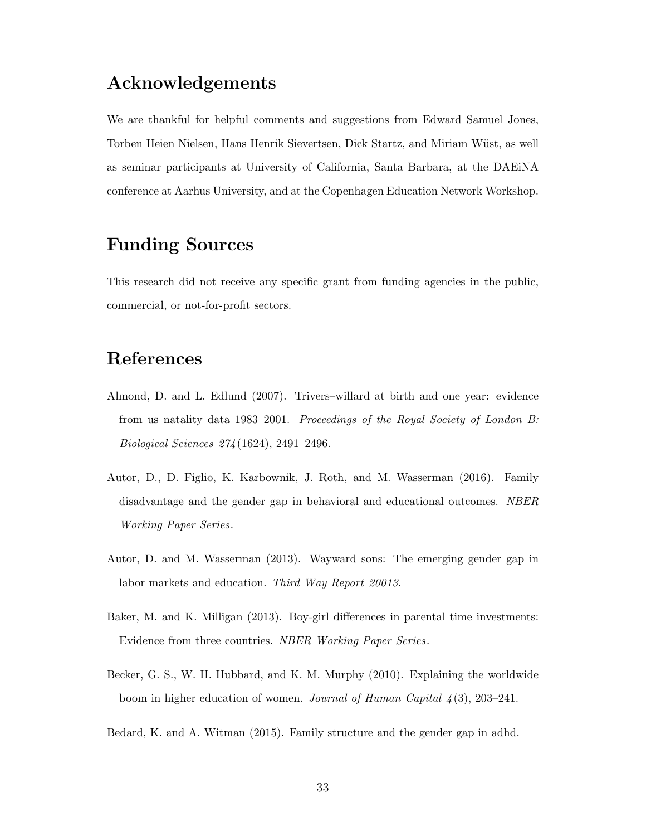## Acknowledgements

We are thankful for helpful comments and suggestions from Edward Samuel Jones, Torben Heien Nielsen, Hans Henrik Sievertsen, Dick Startz, and Miriam Wüst, as well as seminar participants at University of California, Santa Barbara, at the DAEiNA conference at Aarhus University, and at the Copenhagen Education Network Workshop.

## Funding Sources

This research did not receive any specific grant from funding agencies in the public, commercial, or not-for-profit sectors.

## References

- <span id="page-35-4"></span>Almond, D. and L. Edlund (2007). Trivers–willard at birth and one year: evidence from us natality data 1983–2001. Proceedings of the Royal Society of London B: Biological Sciences 274 (1624), 2491–2496.
- <span id="page-35-2"></span>Autor, D., D. Figlio, K. Karbownik, J. Roth, and M. Wasserman (2016). Family disadvantage and the gender gap in behavioral and educational outcomes. NBER Working Paper Series.
- <span id="page-35-1"></span>Autor, D. and M. Wasserman (2013). Wayward sons: The emerging gender gap in labor markets and education. Third Way Report 20013.
- <span id="page-35-3"></span>Baker, M. and K. Milligan (2013). Boy-girl differences in parental time investments: Evidence from three countries. NBER Working Paper Series.
- <span id="page-35-0"></span>Becker, G. S., W. H. Hubbard, and K. M. Murphy (2010). Explaining the worldwide boom in higher education of women. Journal of Human Capital  $\lambda(3)$ , 203–241.
- <span id="page-35-5"></span>Bedard, K. and A. Witman (2015). Family structure and the gender gap in adhd.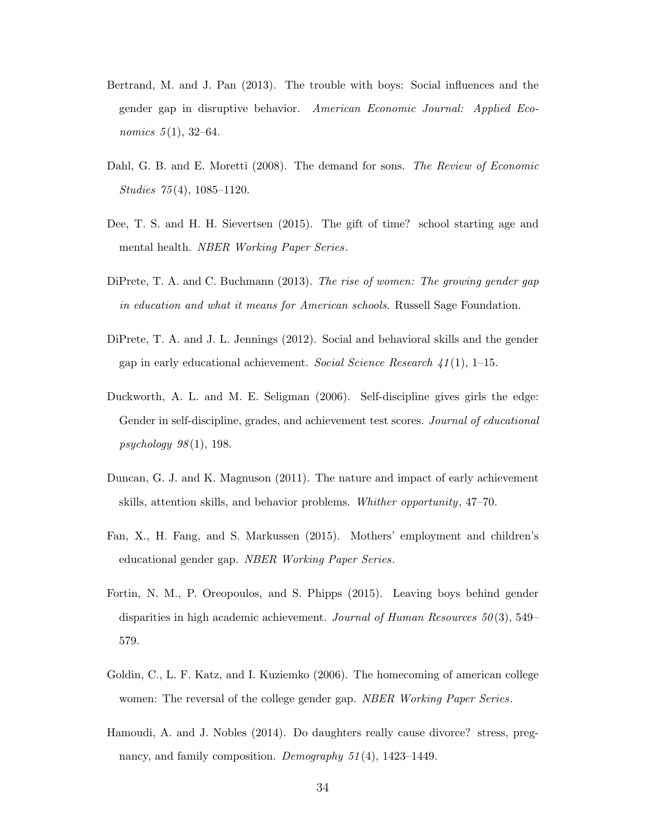- <span id="page-36-1"></span>Bertrand, M. and J. Pan (2013). The trouble with boys: Social influences and the gender gap in disruptive behavior. American Economic Journal: Applied Economics  $5(1)$ , 32–64.
- <span id="page-36-9"></span>Dahl, G. B. and E. Moretti (2008). The demand for sons. The Review of Economic Studies 75 (4), 1085–1120.
- <span id="page-36-8"></span>Dee, T. S. and H. H. Sievertsen (2015). The gift of time? school starting age and mental health. NBER Working Paper Series.
- <span id="page-36-5"></span>DiPrete, T. A. and C. Buchmann (2013). The rise of women: The growing gender gap in education and what it means for American schools. Russell Sage Foundation.
- <span id="page-36-2"></span>DiPrete, T. A. and J. L. Jennings (2012). Social and behavioral skills and the gender gap in early educational achievement. Social Science Research  $41(1)$ , 1–15.
- <span id="page-36-4"></span>Duckworth, A. L. and M. E. Seligman (2006). Self-discipline gives girls the edge: Gender in self-discipline, grades, and achievement test scores. Journal of educational psychology  $98(1)$ , 198.
- <span id="page-36-3"></span>Duncan, G. J. and K. Magnuson (2011). The nature and impact of early achievement skills, attention skills, and behavior problems. Whither opportunity, 47–70.
- <span id="page-36-7"></span>Fan, X., H. Fang, and S. Markussen (2015). Mothers' employment and children's educational gender gap. NBER Working Paper Series.
- <span id="page-36-6"></span>Fortin, N. M., P. Oreopoulos, and S. Phipps (2015). Leaving boys behind gender disparities in high academic achievement. Journal of Human Resources  $50(3)$ , 549– 579.
- <span id="page-36-0"></span>Goldin, C., L. F. Katz, and I. Kuziemko (2006). The homecoming of american college women: The reversal of the college gender gap. NBER Working Paper Series.
- <span id="page-36-10"></span>Hamoudi, A. and J. Nobles (2014). Do daughters really cause divorce? stress, pregnancy, and family composition. Demography 51(4), 1423–1449.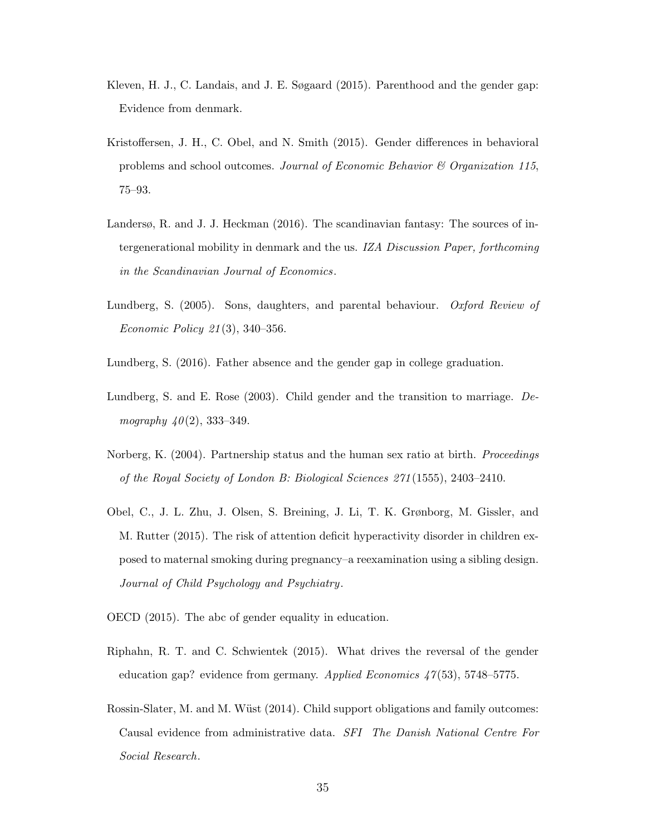- <span id="page-37-10"></span>Kleven, H. J., C. Landais, and J. E. Søgaard (2015). Parenthood and the gender gap: Evidence from denmark.
- <span id="page-37-9"></span>Kristoffersen, J. H., C. Obel, and N. Smith (2015). Gender differences in behavioral problems and school outcomes. Journal of Economic Behavior  $\mathcal C$  Organization 115, 75–93.
- <span id="page-37-2"></span>Landersø, R. and J. J. Heckman (2016). The scandinavian fantasy: The sources of intergenerational mobility in denmark and the us. IZA Discussion Paper, forthcoming in the Scandinavian Journal of Economics.
- <span id="page-37-7"></span>Lundberg, S. (2005). Sons, daughters, and parental behaviour. Oxford Review of Economic Policy 21 (3), 340–356.
- <span id="page-37-1"></span>Lundberg, S. (2016). Father absence and the gender gap in college graduation.
- <span id="page-37-6"></span>Lundberg, S. and E. Rose (2003). Child gender and the transition to marriage. Demography  $40(2)$ , 333–349.
- <span id="page-37-8"></span>Norberg, K. (2004). Partnership status and the human sex ratio at birth. Proceedings of the Royal Society of London B: Biological Sciences 271 (1555), 2403–2410.
- <span id="page-37-5"></span>Obel, C., J. L. Zhu, J. Olsen, S. Breining, J. Li, T. K. Grønborg, M. Gissler, and M. Rutter (2015). The risk of attention deficit hyperactivity disorder in children exposed to maternal smoking during pregnancy–a reexamination using a sibling design. Journal of Child Psychology and Psychiatry.
- <span id="page-37-0"></span>OECD (2015). The abc of gender equality in education.
- <span id="page-37-4"></span>Riphahn, R. T. and C. Schwientek (2015). What drives the reversal of the gender education gap? evidence from germany. Applied Economics  $47(53)$ , 5748–5775.
- <span id="page-37-3"></span>Rossin-Slater, M. and M. Wüst (2014). Child support obligations and family outcomes: Causal evidence from administrative data. SFI The Danish National Centre For Social Research.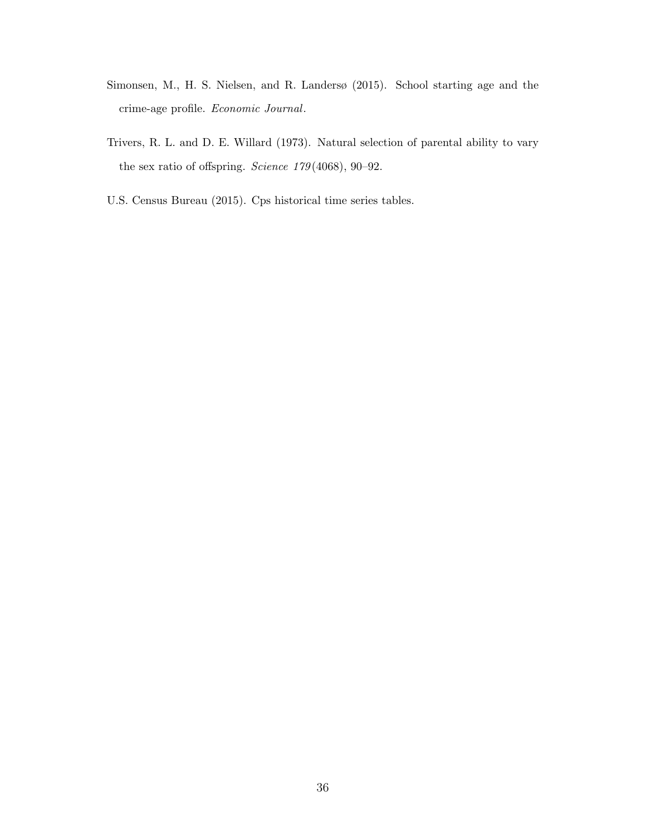- <span id="page-38-1"></span>Simonsen, M., H. S. Nielsen, and R. Landersø (2015). School starting age and the crime-age profile. Economic Journal.
- <span id="page-38-2"></span>Trivers, R. L. and D. E. Willard (1973). Natural selection of parental ability to vary the sex ratio of offspring. Science 179(4068), 90-92.
- <span id="page-38-0"></span>U.S. Census Bureau (2015). Cps historical time series tables.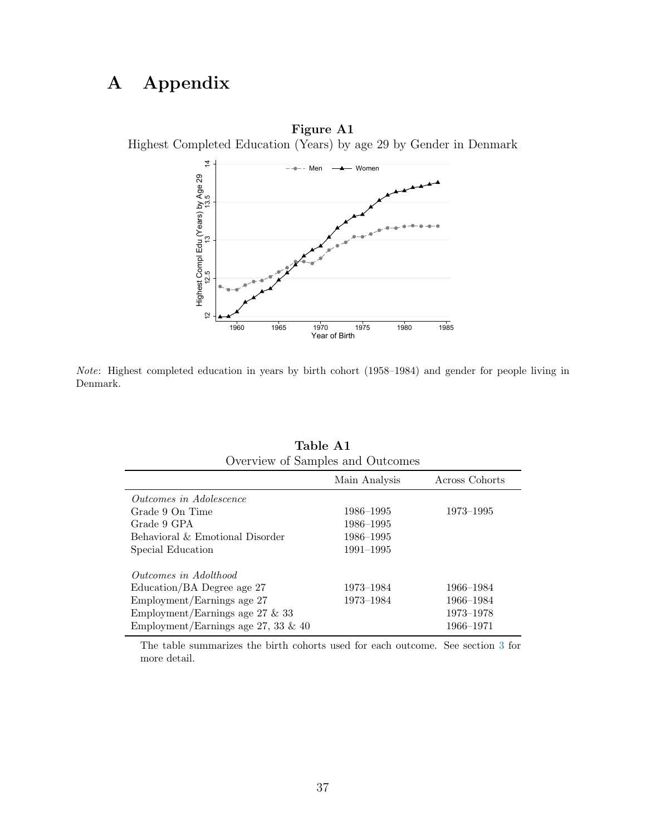## A Appendix

<span id="page-39-0"></span>



Note: Highest completed education in years by birth cohort (1958–1984) and gender for people living in Denmark.

<span id="page-39-1"></span>

| Overview of Samples and Outcomes       |               |                |  |  |  |  |  |  |  |  |
|----------------------------------------|---------------|----------------|--|--|--|--|--|--|--|--|
|                                        | Main Analysis | Across Cohorts |  |  |  |  |  |  |  |  |
| <i>Outcomes in Adolescence</i>         |               |                |  |  |  |  |  |  |  |  |
| Grade 9 On Time                        | 1986–1995     | 1973–1995      |  |  |  |  |  |  |  |  |
| Grade 9 GPA                            | 1986–1995     |                |  |  |  |  |  |  |  |  |
| Behavioral & Emotional Disorder        | 1986–1995     |                |  |  |  |  |  |  |  |  |
| Special Education                      | $1991 - 1995$ |                |  |  |  |  |  |  |  |  |
| <i>Outcomes in Adolthood</i>           |               |                |  |  |  |  |  |  |  |  |
| Education/BA Degree age 27             | 1973–1984     | 1966–1984      |  |  |  |  |  |  |  |  |
| Employment/Earnings age 27             | 1973–1984     | 1966-1984      |  |  |  |  |  |  |  |  |
| Employment/Earnings age 27 $\&$ 33     |               | 1973–1978      |  |  |  |  |  |  |  |  |
| Employment/Earnings age 27, 33 $\&$ 40 |               | 1966–1971      |  |  |  |  |  |  |  |  |

| Table A1                         |
|----------------------------------|
| Overview of Samples and Outcomes |

The table summarizes the birth cohorts used for each outcome. See section [3](#page-9-0) for more detail.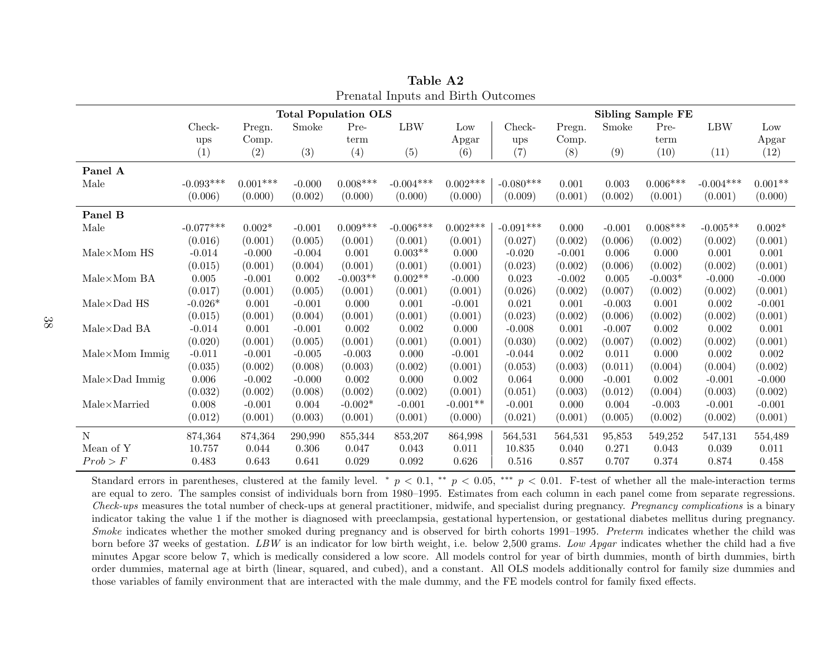|                              |             |            |          | <b>Total Population OLS</b> |             |            | <b>Sibling Sample FE</b> |          |          |            |             |           |
|------------------------------|-------------|------------|----------|-----------------------------|-------------|------------|--------------------------|----------|----------|------------|-------------|-----------|
|                              | $Check-$    | Pregn.     | Smoke    | Pre-                        | <b>LBW</b>  | Low        | Check-                   | Pregn.   | Smoke    | Pre-       | <b>LBW</b>  | Low       |
|                              | ups         | Comp.      |          | term                        |             | Apgar      | ups                      | Comp.    |          | term       |             | Apgar     |
|                              | (1)         | (2)        | (3)      | (4)                         | (5)         | (6)        | (7)                      | (8)      | (9)      | (10)       | (11)        | (12)      |
| Panel A                      |             |            |          |                             |             |            |                          |          |          |            |             |           |
| Male                         | $-0.093***$ | $0.001***$ | $-0.000$ | $0.008***$                  | $-0.004***$ | $0.002***$ | $-0.080***$              | 0.001    | 0.003    | $0.006***$ | $-0.004***$ | $0.001**$ |
|                              | (0.006)     | (0.000)    | (0.002)  | (0.000)                     | (0.000)     | (0.000)    | (0.009)                  | (0.001)  | (0.002)  | (0.001)    | (0.001)     | (0.000)   |
| Panel B                      |             |            |          |                             |             |            |                          |          |          |            |             |           |
| Male                         | $-0.077***$ | $0.002*$   | $-0.001$ | $0.009***$                  | $-0.006***$ | $0.002***$ | $-0.091***$              | 0.000    | $-0.001$ | $0.008***$ | $-0.005**$  | $0.002*$  |
|                              | (0.016)     | (0.001)    | (0.005)  | (0.001)                     | (0.001)     | (0.001)    | (0.027)                  | (0.002)  | (0.006)  | (0.002)    | (0.002)     | (0.001)   |
| $Male \times Mom$ HS         | $-0.014$    | $-0.000$   | $-0.004$ | 0.001                       | $0.003**$   | 0.000      | $-0.020$                 | $-0.001$ | 0.006    | 0.000      | 0.001       | 0.001     |
|                              | (0.015)     | (0.001)    | (0.004)  | (0.001)                     | (0.001)     | (0.001)    | (0.023)                  | (0.002)  | (0.006)  | (0.002)    | (0.002)     | (0.001)   |
| $Male \times Mom BA$         | 0.005       | $-0.001$   | 0.002    | $-0.003**$                  | $0.002**$   | $-0.000$   | 0.023                    | $-0.002$ | 0.005    | $-0.003*$  | $-0.000$    | $-0.000$  |
|                              | (0.017)     | (0.001)    | (0.005)  | (0.001)                     | (0.001)     | (0.001)    | (0.026)                  | (0.002)  | (0.007)  | (0.002)    | (0.002)     | (0.001)   |
| $Male \times Dad$ HS         | $-0.026*$   | 0.001      | $-0.001$ | 0.000                       | 0.001       | $-0.001$   | 0.021                    | 0.001    | $-0.003$ | 0.001      | 0.002       | $-0.001$  |
|                              | (0.015)     | (0.001)    | (0.004)  | (0.001)                     | (0.001)     | (0.001)    | (0.023)                  | (0.002)  | (0.006)  | (0.002)    | (0.002)     | (0.001)   |
| $Male \times Dad$ BA         | $-0.014$    | 0.001      | $-0.001$ | $0.002\,$                   | 0.002       | 0.000      | $-0.008$                 | 0.001    | $-0.007$ | $0.002\,$  | $0.002\,$   | 0.001     |
|                              | (0.020)     | (0.001)    | (0.005)  | (0.001)                     | (0.001)     | (0.001)    | (0.030)                  | (0.002)  | (0.007)  | (0.002)    | (0.002)     | (0.001)   |
| $Male \times Mom$ Immig      | $-0.011$    | $-0.001$   | $-0.005$ | $-0.003$                    | 0.000       | $-0.001$   | $-0.044$                 | 0.002    | 0.011    | 0.000      | $0.002\,$   | 0.002     |
|                              | (0.035)     | (0.002)    | (0.008)  | (0.003)                     | (0.002)     | (0.001)    | (0.053)                  | (0.003)  | (0.011)  | (0.004)    | (0.004)     | (0.002)   |
| $Male \times Dad$ Immig      | 0.006       | $-0.002$   | $-0.000$ | 0.002                       | 0.000       | 0.002      | 0.064                    | 0.000    | $-0.001$ | 0.002      | $-0.001$    | $-0.000$  |
|                              | (0.032)     | (0.002)    | (0.008)  | (0.002)                     | (0.002)     | (0.001)    | (0.051)                  | (0.003)  | (0.012)  | (0.004)    | (0.003)     | (0.002)   |
| $Male \times \text{Married}$ | $0.008\,$   | $-0.001$   | 0.004    | $-0.002*$                   | $-0.001$    | $-0.001**$ | $-0.001$                 | 0.000    | 0.004    | $-0.003$   | $-0.001$    | $-0.001$  |
|                              | (0.012)     | (0.001)    | (0.003)  | (0.001)                     | (0.001)     | (0.000)    | (0.021)                  | (0.001)  | (0.005)  | (0.002)    | (0.002)     | (0.001)   |
| N                            | 874,364     | 874,364    | 290,990  | 855,344                     | 853,207     | 864,998    | 564,531                  | 564,531  | 95,853   | 549,252    | 547,131     | 554,489   |
| Mean of Y                    | 10.757      | 0.044      | 0.306    | 0.047                       | 0.043       | 0.011      | 10.835                   | 0.040    | 0.271    | 0.043      | 0.039       | 0.011     |
| Prob > F                     | 0.483       | 0.643      | 0.641    | 0.029                       | 0.092       | 0.626      | 0.516                    | 0.857    | 0.707    | 0.374      | 0.874       | 0.458     |

Table A2Prenatal Inputs and Birth Outcomes

<span id="page-40-0"></span>Standard errors in parentheses, clustered at the family level. \*  $p < 0.1$ , \*\*  $p < 0.05$ , \*\*\*  $p < 0.01$ . F-test of whether all the male-interaction terms are equal to zero. The samples consist of individuals born from 1980–1995. Estimates from each column in each panel come from separate regressions.Check-ups measures the total number of check-ups at genera<sup>l</sup> practitioner, midwife, and specialist during pregnancy. Pregnancy complications is <sup>a</sup> binary indicator taking the value 1 if the mother is diagnosed with preeclampsia, gestational hypertension, or gestational diabetes mellitus during pregnancy.Smoke indicates whether the mother smoked during pregnancy and is observed for birth cohorts 1991–1995. Preterm indicates whether the child was<br>have helped as a state of pretation of PW is an indicate for law high princip born before 37 weeks of gestation. LBW is an indicator for low birth weight, i.e. below 2,500 grams. Low Apgar indicates whether the child had a five<br>minutes Apgar score below 7, which is medically considered a low score. minutes Apgar score below 7, which is medically considered <sup>a</sup> low score. All models control for year of birth dummies, month of birth dummies, birth order dummies, maternal age at birth (linear, squared, and cubed), and <sup>a</sup> constant. All OLS models additionally control for family size dummies andthose variables of family environment that are interacted with the male dummy, and the FE models control for family fixed effects.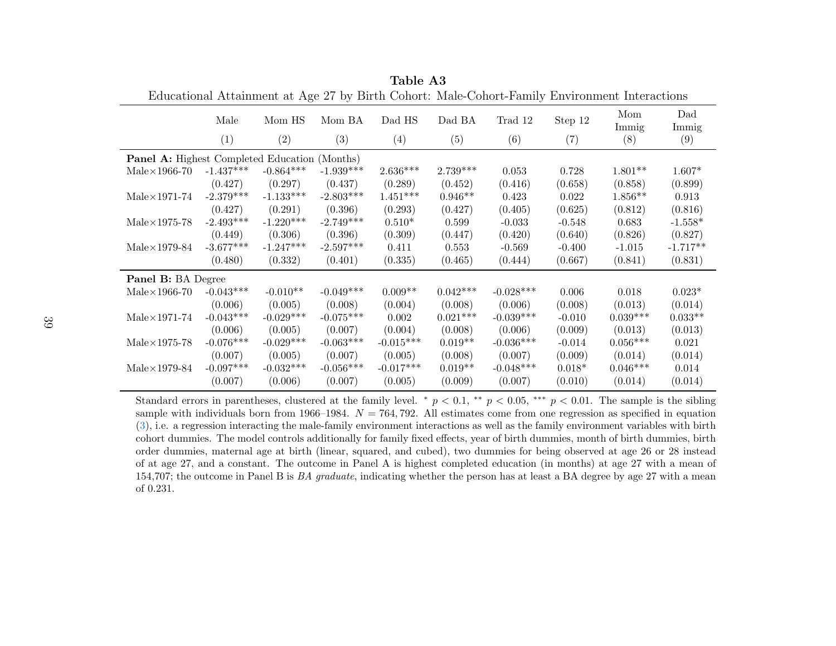|                                                      | Male        | Mom HS      | Mom BA      | Dad HS          | Dad BA     | Trad 12     | Step 12  | Mom<br>Immig | Dad<br>Immig |
|------------------------------------------------------|-------------|-------------|-------------|-----------------|------------|-------------|----------|--------------|--------------|
|                                                      | (1)         | (2)         | (3)         | (4)             | (5)        | (6)         | (7)      | (8)          | (9)          |
| <b>Panel A:</b> Highest Completed Education (Months) |             |             |             |                 |            |             |          |              |              |
| $Male \times 1966-70$                                | $-1.437***$ | $-0.864***$ | $-1.939***$ | $2.636***$      | $2.739***$ | 0.053       | 0.728    | $1.801**$    | $1.607*$     |
|                                                      | (0.427)     | (0.297)     | (0.437)     | (0.289)         | (0.452)    | (0.416)     | (0.658)  | (0.858)      | (0.899)      |
| $Male \times 1971-74$                                | $-2.379***$ | $-1.133***$ | $-2.803***$ | $1.451^{***}\,$ | $0.946**$  | 0.423       | 0.022    | $1.856**$    | 0.913        |
|                                                      | (0.427)     | (0.291)     | (0.396)     | (0.293)         | (0.427)    | (0.405)     | (0.625)  | (0.812)      | (0.816)      |
| $Male \times 1975-78$                                | $-2.493***$ | $-1.220***$ | $-2.749***$ | $0.510*$        | 0.599      | $-0.033$    | $-0.548$ | 0.683        | $-1.558*$    |
|                                                      | (0.449)     | (0.306)     | (0.396)     | (0.309)         | (0.447)    | (0.420)     | (0.640)  | (0.826)      | (0.827)      |
| $Male \times 1979-84$                                | $-3.677***$ | $-1.247***$ | $-2.597***$ | 0.411           | 0.553      | $-0.569$    | $-0.400$ | $-1.015$     | $-1.717**$   |
|                                                      | (0.480)     | (0.332)     | (0.401)     | (0.335)         | (0.465)    | (0.444)     | (0.667)  | (0.841)      | (0.831)      |
| Panel B: BA Degree                                   |             |             |             |                 |            |             |          |              |              |
| $Male \times 1966-70$                                | $-0.043***$ | $-0.010**$  | $-0.049***$ | $0.009**$       | $0.042***$ | $-0.028***$ | 0.006    | 0.018        | $0.023*$     |
|                                                      | (0.006)     | (0.005)     | (0.008)     | (0.004)         | (0.008)    | (0.006)     | (0.008)  | (0.013)      | (0.014)      |
| $Male \times 1971-74$                                | $-0.043***$ | $-0.029***$ | $-0.075***$ | 0.002           | $0.021***$ | $-0.039***$ | $-0.010$ | $0.039***$   | $0.033**$    |
|                                                      | (0.006)     | (0.005)     | (0.007)     | (0.004)         | (0.008)    | (0.006)     | (0.009)  | (0.013)      | (0.013)      |
| $Male \times 1975-78$                                | $-0.076***$ | $-0.029***$ | $-0.063***$ | $-0.015***$     | $0.019**$  | $-0.036***$ | $-0.014$ | $0.056***$   | 0.021        |
|                                                      | (0.007)     | (0.005)     | (0.007)     | (0.005)         | (0.008)    | (0.007)     | (0.009)  | (0.014)      | (0.014)      |
| $Male \times 1979-84$                                | $-0.097***$ | $-0.032***$ | $-0.056***$ | $-0.017***$     | $0.019**$  | $-0.048***$ | $0.018*$ | $0.046***$   | 0.014        |
|                                                      | (0.007)     | (0.006)     | (0.007)     | (0.005)         | (0.009)    | (0.007)     | (0.010)  | (0.014)      | (0.014)      |
|                                                      |             |             |             |                 |            |             |          |              |              |

Table A3Educational Attainment at Age 27 by Birth Cohort: Male-Cohort-Family Environment Interactions

<span id="page-41-0"></span>Standard errors in parentheses, clustered at the family level. \*  $p < 0.1$ , \*\*  $p < 0.05$ , \*\*\*  $p < 0.01$ . The sample is the sibling<br>results with individuals have from 1000, 1004, N = 704, 709. All estimates across from an a sample with individuals born from 1966–1984.  $N = 764, 792$ . All estimates come from one regression as specified in equation  $(2)$ ([3\)](#page-19-4), i.e. <sup>a</sup> regression interacting the male-family environment interactions as well as the family environment variables with birth cohort dummies. The model controls additionally for family fixed effects, year of birth dummies, month of birth dummies, birth order dummies, maternal age at birth (linear, squared, and cubed), two dummies for being observed at age <sup>26</sup> or <sup>28</sup> instead of at age 27, and <sup>a</sup> constant. The outcome in Panel A is highest completed education (in months) at age <sup>27</sup> with <sup>a</sup> mean of154,707; the outcome in Panel B is *BA graduate*, indicating whether the person has at least a BA degree by age 27 with a mean of 0.231.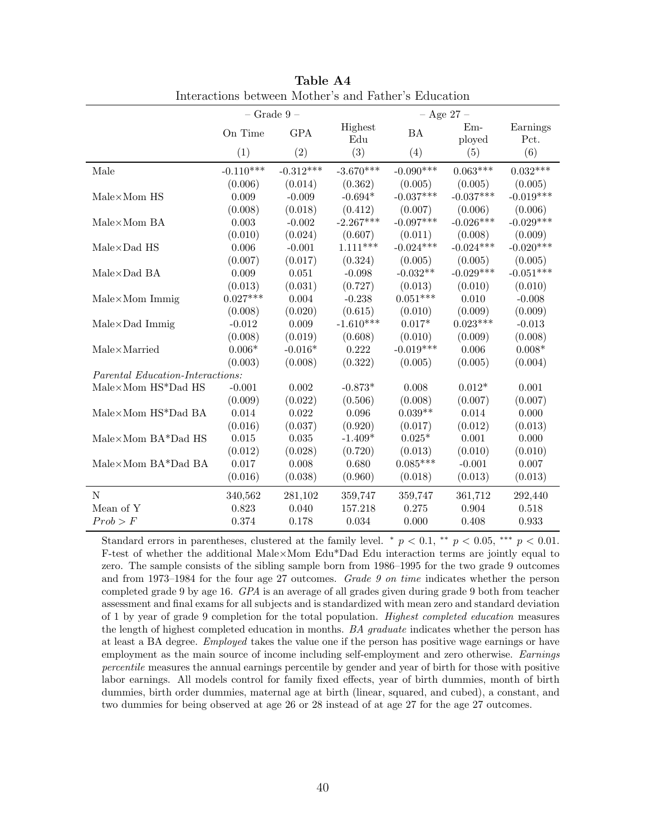<span id="page-42-0"></span>

|                                  | $-$ Grade $9-$ |             |                | $-$ Age 27 $-$ |                        |                  |  |  |  |
|----------------------------------|----------------|-------------|----------------|----------------|------------------------|------------------|--|--|--|
|                                  | On Time        | <b>GPA</b>  | Highest<br>Edu | BA             | $Em-$<br>ployed        | Earnings<br>Pct. |  |  |  |
|                                  | (1)            | (2)         | (3)            | (4)            | (5)                    | (6)              |  |  |  |
| Male                             | $-0.110***$    | $-0.312***$ | $-3.670***$    | $-0.090***$    | $0.063***$             | $0.032***$       |  |  |  |
|                                  | (0.006)        | (0.014)     | (0.362)        | (0.005)        | (0.005)                | (0.005)          |  |  |  |
| Male×Mom HS                      | 0.009          | $-0.009$    | $-0.694*$      | $-0.037***$    | $-0.037***$            | $-0.019***$      |  |  |  |
|                                  | (0.008)        | (0.018)     | (0.412)        | (0.007)        | (0.006)<br>$-0.026***$ | (0.006)          |  |  |  |
| $Male \times Mom BA$             | 0.003          | $-0.002$    | $-2.267***$    | $-0.097***$    |                        | $-0.029***$      |  |  |  |
|                                  | (0.010)        | (0.024)     | (0.607)        | (0.011)        | (0.008)                | (0.009)          |  |  |  |
| $Male \times Dad$ HS             | 0.006          | $-0.001$    | $1.111***$     | $-0.024***$    | $-0.024***$            | $-0.020***$      |  |  |  |
|                                  | (0.007)        | (0.017)     | (0.324)        | (0.005)        | (0.005)                | (0.005)          |  |  |  |
| $Male \times Dad$ BA             | 0.009          | 0.051       | $-0.098$       | $-0.032**$     | $-0.029***$            | $-0.051***$      |  |  |  |
|                                  | (0.013)        | (0.031)     | (0.727)        | (0.013)        | (0.010)                | (0.010)          |  |  |  |
| $Male \times Mom$ Immig          | $0.027***$     | 0.004       | $-0.238$       | $0.051***$     | 0.010                  | $-0.008$         |  |  |  |
|                                  | (0.008)        | (0.020)     | (0.615)        | (0.010)        | (0.009)                | (0.009)          |  |  |  |
| $Male \times Dad$ Immig          | $-0.012$       | $\,0.009\,$ | $-1.610***$    | $0.017*$       | $0.023***$             | $-0.013$         |  |  |  |
|                                  | (0.008)        | (0.019)     | (0.608)        | (0.010)        | (0.009)                | (0.008)          |  |  |  |
| $Male \times \text{Married}$     | $0.006*$       | $-0.016*$   | 0.222          | $-0.019***$    | 0.006                  | $0.008*$         |  |  |  |
|                                  | (0.003)        | (0.008)     | (0.322)        | (0.005)        | (0.005)                | (0.004)          |  |  |  |
| Parental Education-Interactions: |                |             |                |                |                        |                  |  |  |  |
| Male×Mom HS*Dad HS               | $-0.001$       | 0.002       | $-0.873*$      | 0.008          | $0.012*$               | 0.001            |  |  |  |
|                                  | (0.009)        | (0.022)     | (0.506)        | (0.008)        | (0.007)                | (0.007)          |  |  |  |
| Male×Mom HS*Dad BA               | 0.014          | 0.022       | 0.096          | $0.039**$      | 0.014                  | 0.000            |  |  |  |
|                                  | (0.016)        | (0.037)     | (0.920)        | (0.017)        | (0.012)                | (0.013)          |  |  |  |
| $Male\times Mom$ BA*Dad HS       | 0.015          | 0.035       | $-1.409*$      | $0.025*$       | 0.001                  | 0.000            |  |  |  |
|                                  | (0.012)        | (0.028)     | (0.720)        | (0.013)        | (0.010)                | (0.010)          |  |  |  |
| Male×Mom BA*Dad BA               | 0.017          | 0.008       | 0.680          | $0.085***$     | $-0.001$               | 0.007            |  |  |  |
|                                  | (0.016)        | (0.038)     | (0.960)        | (0.018)        | (0.013)                | (0.013)          |  |  |  |
| N                                | 340,562        | 281,102     | 359,747        | 359,747        | 361,712                | 292,440          |  |  |  |
| Mean of Y                        | 0.823          | 0.040       | 157.218        | 0.275          | 0.904                  | 0.518            |  |  |  |
| Prob > F                         | 0.374          | 0.178       | 0.034          | 0.000          | 0.408                  | 0.933            |  |  |  |

Table A4 Interactions between Mother's and Father's Education

Standard errors in parentheses, clustered at the family level. \*  $p < 0.1$ , \*\*  $p < 0.05$ , \*\*\*  $p < 0.01$ . F-test of whether the additional Male×Mom Edu\*Dad Edu interaction terms are jointly equal to zero. The sample consists of the sibling sample born from 1986–1995 for the two grade 9 outcomes and from 1973–1984 for the four age 27 outcomes. Grade 9 on time indicates whether the person completed grade 9 by age 16. GPA is an average of all grades given during grade 9 both from teacher assessment and final exams for all subjects and is standardized with mean zero and standard deviation of 1 by year of grade 9 completion for the total population. Highest completed education measures the length of highest completed education in months. *BA graduate* indicates whether the person has at least a BA degree. Employed takes the value one if the person has positive wage earnings or have employment as the main source of income including self-employment and zero otherwise. Earnings percentile measures the annual earnings percentile by gender and year of birth for those with positive labor earnings. All models control for family fixed effects, year of birth dummies, month of birth dummies, birth order dummies, maternal age at birth (linear, squared, and cubed), a constant, and two dummies for being observed at age 26 or 28 instead of at age 27 for the age 27 outcomes.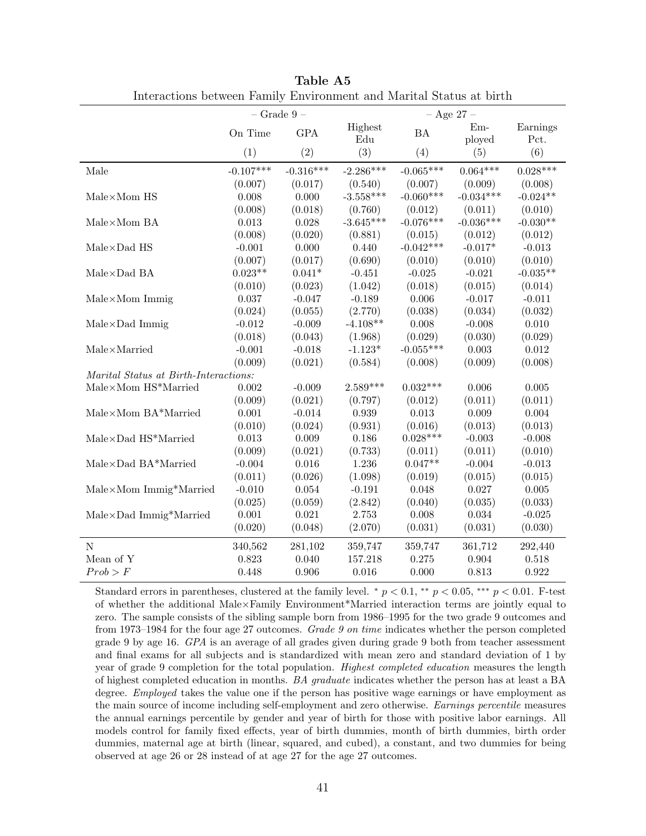<span id="page-43-0"></span>

|                                        | $-$ Grade $9-$ |             |             | $-$ Age 27 $-$ |             |            |  |  |
|----------------------------------------|----------------|-------------|-------------|----------------|-------------|------------|--|--|
|                                        | On Time        | <b>GPA</b>  | Highest     | <b>BA</b>      | $Em-$       | Earnings   |  |  |
|                                        |                |             | Edu         |                | ployed      | Pct.       |  |  |
|                                        | (1)            | (2)         | (3)         | (4)            | (5)         | (6)        |  |  |
| Male                                   | $-0.107***$    | $-0.316***$ | $-2.286***$ | $-0.065***$    | $0.064***$  | $0.028***$ |  |  |
|                                        | (0.007)        | (0.017)     | (0.540)     | (0.007)        | (0.009)     | (0.008)    |  |  |
| $Male \times Mom$ HS                   | 0.008          | 0.000       | $-3.558***$ | $-0.060***$    | $-0.034***$ | $-0.024**$ |  |  |
|                                        | (0.008)        | (0.018)     | (0.760)     | (0.012)        | (0.011)     | (0.010)    |  |  |
| Male×Mom BA                            | 0.013          | 0.028       | $-3.645***$ | $-0.076***$    | $-0.036***$ | $-0.030**$ |  |  |
|                                        | (0.008)        | (0.020)     | (0.881)     | (0.015)        | (0.012)     | (0.012)    |  |  |
| $Male \times Dad$ HS                   | $-0.001$       | 0.000       | 0.440       | $-0.042***$    | $-0.017*$   | $-0.013$   |  |  |
|                                        | (0.007)        | (0.017)     | (0.690)     | (0.010)        | (0.010)     | (0.010)    |  |  |
| $\mathrm{Male}{\times}\mathrm{Dad}$ BA | $0.023**$      | $0.041*$    | $-0.451$    | $-0.025$       | $-0.021$    | $-0.035**$ |  |  |
|                                        | (0.010)        | (0.023)     | (1.042)     | (0.018)        | (0.015)     | (0.014)    |  |  |
| $Male \times Mom$ Immig                | 0.037          | $-0.047$    | $-0.189$    | 0.006          | $-0.017$    | $-0.011$   |  |  |
|                                        | (0.024)        | (0.055)     | (2.770)     | (0.038)        | (0.034)     | (0.032)    |  |  |
| Male×Dad Immig                         | $-0.012$       | $-0.009$    | $-4.108**$  | 0.008          | $-0.008$    | 0.010      |  |  |
|                                        | (0.018)        | (0.043)     | (1.968)     | (0.029)        | (0.030)     | (0.029)    |  |  |
| $Male \times \text{Married}$           | $-0.001$       | $-0.018$    | $-1.123*$   | $-0.055***$    | 0.003       | 0.012      |  |  |
|                                        | (0.009)        | (0.021)     | (0.584)     | (0.008)        | (0.009)     | (0.008)    |  |  |
| Marital Status at Birth-Interactions:  |                |             |             |                |             |            |  |  |
| $Male\times Mom$ HS*Married            | 0.002          | $-0.009$    | $2.589***$  | $0.032***$     | 0.006       | 0.005      |  |  |
|                                        | (0.009)        | (0.021)     | (0.797)     | (0.012)        | (0.011)     | (0.011)    |  |  |
| $Male\times Mom$ $BA*Married$          | 0.001          | $-0.014$    | 0.939       | 0.013          | 0.009       | $0.004\,$  |  |  |
|                                        | (0.010)        | (0.024)     | (0.931)     | (0.016)        | (0.013)     | (0.013)    |  |  |
| Male×Dad HS*Married                    | 0.013          | 0.009       | 0.186       | $0.028***$     | $-0.003$    | $-0.008$   |  |  |
|                                        | (0.009)        | (0.021)     | (0.733)     | (0.011)        | (0.011)     | (0.010)    |  |  |
| $Male \times Dad$ $BA*Married$         | $-0.004$       | $0.016\,$   | 1.236       | $0.047**$      | $-0.004$    | $-0.013$   |  |  |
|                                        | (0.011)        | (0.026)     | (1.098)     | (0.019)        | (0.015)     | (0.015)    |  |  |
| Male×Mom Immig*Married                 | $-0.010$       | $\,0.054\,$ | $-0.191$    | 0.048          | 0.027       | 0.005      |  |  |
|                                        | (0.025)        | (0.059)     | (2.842)     | (0.040)        | (0.035)     | (0.033)    |  |  |
| Male×Dad Immig*Married                 | 0.001          | 0.021       | 2.753       | 0.008          | $\,0.034\,$ | $-0.025$   |  |  |
|                                        | (0.020)        | (0.048)     | (2.070)     | (0.031)        | (0.031)     | (0.030)    |  |  |
| $\mathbf N$                            | 340,562        | 281,102     | 359,747     | 359,747        | 361,712     | 292,440    |  |  |
| Mean of Y                              | 0.823          | $0.040\,$   | 157.218     | 0.275          | 0.904       | 0.518      |  |  |
| Prob > F                               | 0.448          | 0.906       | 0.016       | 0.000          | 0.813       | 0.922      |  |  |

Table A5 Interactions between Family Environment and Marital Status at birth

Standard errors in parentheses, clustered at the family level. \*  $p < 0.1$ , \*\*  $p < 0.05$ , \*\*\*  $p < 0.01$ . F-test of whether the additional Male×Family Environment\*Married interaction terms are jointly equal to zero. The sample consists of the sibling sample born from 1986–1995 for the two grade 9 outcomes and from 1973–1984 for the four age 27 outcomes. Grade 9 on time indicates whether the person completed grade 9 by age 16. GPA is an average of all grades given during grade 9 both from teacher assessment and final exams for all subjects and is standardized with mean zero and standard deviation of 1 by year of grade 9 completion for the total population. Highest completed education measures the length of highest completed education in months. BA graduate indicates whether the person has at least a BA degree. *Employed* takes the value one if the person has positive wage earnings or have employment as the main source of income including self-employment and zero otherwise. Earnings percentile measures the annual earnings percentile by gender and year of birth for those with positive labor earnings. All models control for family fixed effects, year of birth dummies, month of birth dummies, birth order dummies, maternal age at birth (linear, squared, and cubed), a constant, and two dummies for being observed at age 26 or 28 instead of at age 27 for the age 27 outcomes.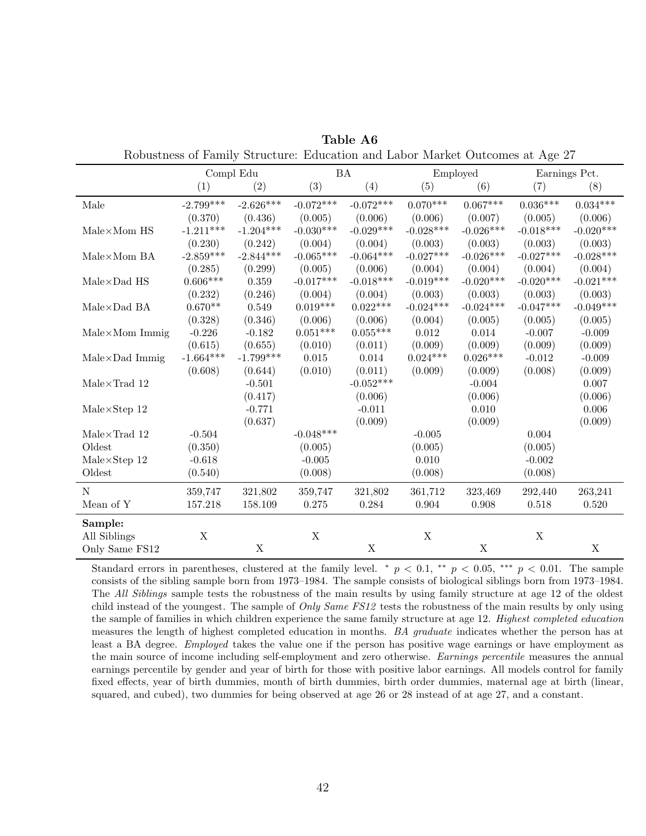<span id="page-44-0"></span>

| $\beta$ and $\alpha$ and $\alpha$ and $\alpha$ and $\alpha$ and $\alpha$ and $\alpha$ and $\alpha$ and $\alpha$ and $\alpha$ and $\alpha$ and $\alpha$ |             |             |             |                 |             |             |                 |                 |  |  |
|--------------------------------------------------------------------------------------------------------------------------------------------------------|-------------|-------------|-------------|-----------------|-------------|-------------|-----------------|-----------------|--|--|
|                                                                                                                                                        | Compl Edu   |             |             | <b>BA</b>       |             | Employed    |                 | Earnings Pct.   |  |  |
|                                                                                                                                                        | (1)         | (2)         | (3)         | (4)             | (5)         | (6)         | (7)             | (8)             |  |  |
| Male                                                                                                                                                   | $-2.799***$ | $-2.626***$ | $-0.072***$ | $-0.072***$     | $0.070***$  | $0.067***$  | $0.036^{***}\,$ | $0.034^{***}\,$ |  |  |
|                                                                                                                                                        | (0.370)     | (0.436)     | (0.005)     | (0.006)         | (0.006)     | (0.007)     | (0.005)         | (0.006)         |  |  |
| $Male \times Mom$ HS                                                                                                                                   | $-1.211***$ | $-1.204***$ | $-0.030***$ | $-0.029***$     | $-0.028***$ | $-0.026***$ | $-0.018***$     | $-0.020***$     |  |  |
|                                                                                                                                                        | (0.230)     | (0.242)     | (0.004)     | (0.004)         | (0.003)     | (0.003)     | (0.003)         | (0.003)         |  |  |
| $Male \times Mom$ BA                                                                                                                                   | $-2.859***$ | $-2.844***$ | $-0.065***$ | $-0.064***$     | $-0.027***$ | $-0.026***$ | $-0.027***$     | $-0.028***$     |  |  |
|                                                                                                                                                        | (0.285)     | (0.299)     | (0.005)     | (0.006)         | (0.004)     | (0.004)     | (0.004)         | (0.004)         |  |  |
| $Male \times Dad$ HS                                                                                                                                   | $0.606***$  | 0.359       | $-0.017***$ | $-0.018***$     | $-0.019***$ | $-0.020***$ | $-0.020***$     | $-0.021***$     |  |  |
|                                                                                                                                                        | (0.232)     | (0.246)     | (0.004)     | (0.004)         | (0.003)     | (0.003)     | (0.003)         | (0.003)         |  |  |
| $Male \times Dad$ BA                                                                                                                                   | $0.670**$   | 0.549       | $0.019***$  | $0.022***$      | $-0.024***$ | $-0.024***$ | $-0.047***$     | $-0.049***$     |  |  |
|                                                                                                                                                        | (0.328)     | (0.346)     | (0.006)     | (0.006)         | (0.004)     | (0.005)     | (0.005)         | (0.005)         |  |  |
| $Male \times Mom$ Immig                                                                                                                                | $-0.226$    | $-0.182$    | $0.051***$  | $0.055^{***}\,$ | 0.012       | 0.014       | $-0.007$        | $-0.009$        |  |  |
|                                                                                                                                                        | (0.615)     | (0.655)     | (0.010)     | (0.011)         | (0.009)     | (0.009)     | (0.009)         | (0.009)         |  |  |
| $Male \times Dad$ Immig                                                                                                                                | $-1.664***$ | $-1.799***$ | 0.015       | 0.014           | $0.024***$  | $0.026***$  | $-0.012$        | $-0.009$        |  |  |
|                                                                                                                                                        | (0.608)     | (0.644)     | (0.010)     | (0.011)         | (0.009)     | (0.009)     | (0.008)         | (0.009)         |  |  |
| $Male \times Trad$ 12                                                                                                                                  |             | $-0.501$    |             | $-0.052***$     |             | $-0.004$    |                 | 0.007           |  |  |
|                                                                                                                                                        |             | (0.417)     |             | (0.006)         |             | (0.006)     |                 | (0.006)         |  |  |
| $Male \times Step 12$                                                                                                                                  |             | $-0.771$    |             | $-0.011$        |             | 0.010       |                 | 0.006           |  |  |
|                                                                                                                                                        |             | (0.637)     |             | (0.009)         |             | (0.009)     |                 | (0.009)         |  |  |
| $Male \times Trad$ 12                                                                                                                                  | $-0.504$    |             | $-0.048***$ |                 | $-0.005$    |             | 0.004           |                 |  |  |
| Oldest                                                                                                                                                 | (0.350)     |             | (0.005)     |                 | (0.005)     |             | (0.005)         |                 |  |  |
| $Male \times Step 12$                                                                                                                                  | $-0.618$    |             | $-0.005$    |                 | 0.010       |             | $-0.002$        |                 |  |  |
| Oldest                                                                                                                                                 | (0.540)     |             | (0.008)     |                 | (0.008)     |             | (0.008)         |                 |  |  |
| $\mathbf N$                                                                                                                                            | 359,747     | 321,802     | 359,747     | 321,802         | 361,712     | 323,469     | 292,440         | 263,241         |  |  |
| Mean of Y                                                                                                                                              | 157.218     | 158.109     | 0.275       | 0.284           | 0.904       | 0.908       | 0.518           | 0.520           |  |  |
| Sample:                                                                                                                                                |             |             |             |                 |             |             |                 |                 |  |  |
| All Siblings                                                                                                                                           | X           |             | $\mathbf X$ |                 | $\mathbf X$ |             | X               |                 |  |  |
| Only Same FS12                                                                                                                                         |             | $\mathbf X$ |             | $\mathbf X$     |             | $\mathbf X$ |                 | $\mathbf X$     |  |  |

Table A6 Robustness of Family Structure: Education and Labor Market Outcomes at Age 27

Standard errors in parentheses, clustered at the family level. \*  $p < 0.1$ , \*\*  $p < 0.05$ , \*\*\*  $p < 0.01$ . The sample consists of the sibling sample born from 1973–1984. The sample consists of biological siblings born from 1973–1984. The *All Siblings* sample tests the robustness of the main results by using family structure at age 12 of the oldest child instead of the youngest. The sample of *Only Same FS12* tests the robustness of the main results by only using the sample of families in which children experience the same family structure at age 12. Highest completed education measures the length of highest completed education in months. BA graduate indicates whether the person has at least a BA degree. Employed takes the value one if the person has positive wage earnings or have employment as the main source of income including self-employment and zero otherwise. Earnings percentile measures the annual earnings percentile by gender and year of birth for those with positive labor earnings. All models control for family fixed effects, year of birth dummies, month of birth dummies, birth order dummies, maternal age at birth (linear, squared, and cubed), two dummies for being observed at age 26 or 28 instead of at age 27, and a constant.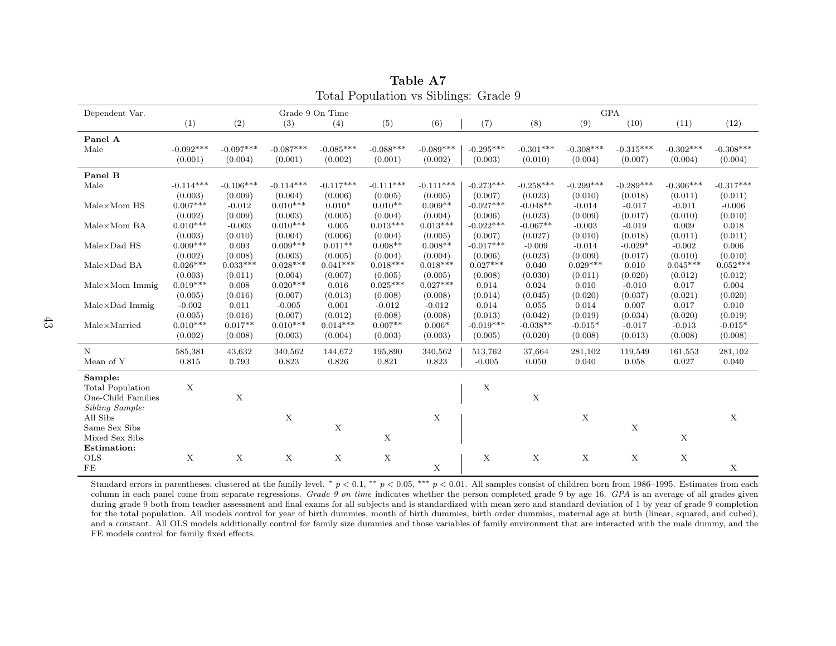|                              | $\frac{1}{2}$   |             |             |             |                           |             |             |             |             |                           |                  |             |
|------------------------------|-----------------|-------------|-------------|-------------|---------------------------|-------------|-------------|-------------|-------------|---------------------------|------------------|-------------|
| Dependent Var.               | Grade 9 On Time |             |             |             |                           | <b>GPA</b>  |             |             |             |                           |                  |             |
|                              | (1)             | (2)         | (3)         | (4)         | (5)                       | (6)         | (7)         | (8)         | (9)         | (10)                      | (11)             | (12)        |
| Panel A                      |                 |             |             |             |                           |             |             |             |             |                           |                  |             |
| Male                         | $-0.092***$     | $-0.097***$ | $-0.087***$ | $-0.085***$ | $-0.088***$               | $-0.089***$ | $-0.295***$ | $-0.301***$ | $-0.308***$ | $-0.315***$               | $-0.302***$      | $-0.308***$ |
|                              | (0.001)         | (0.004)     | (0.001)     | (0.002)     | (0.001)                   | (0.002)     | (0.003)     | (0.010)     | (0.004)     | (0.007)                   | (0.004)          | (0.004)     |
| Panel B                      |                 |             |             |             |                           |             |             |             |             |                           |                  |             |
| Male                         | $-0.114***$     | $-0.106***$ | $-0.114***$ | $-0.117***$ | $-0.111***$               | $-0.111***$ | $-0.273***$ | $-0.258***$ | $-0.299***$ | $-0.289***$               | $-0.306***$      | $-0.317***$ |
|                              | (0.003)         | (0.009)     | (0.004)     | (0.006)     | (0.005)                   | (0.005)     | (0.007)     | (0.023)     | (0.010)     | (0.018)                   | (0.011)          | (0.011)     |
| $Male \times Mom$ HS         | $0.007***$      | $-0.012$    | $0.010***$  | $0.010*$    | $0.010**$                 | $0.009**$   | $-0.027***$ | $-0.048**$  | $-0.014$    | $-0.017$                  | $-0.011$         | $-0.006$    |
|                              | (0.002)         | (0.009)     | (0.003)     | (0.005)     | (0.004)                   | (0.004)     | (0.006)     | (0.023)     | (0.009)     | (0.017)                   | (0.010)          | (0.010)     |
| $Male \times Mom$ BA         | $0.010***$      | $-0.003$    | $0.010***$  | 0.005       | $0.013***$                | $0.013***$  | $-0.022***$ | $-0.067**$  | $-0.003$    | $-0.019$                  | 0.009            | 0.018       |
|                              | (0.003)         | (0.010)     | (0.004)     | (0.006)     | (0.004)                   | (0.005)     | (0.007)     | (0.027)     | (0.010)     | (0.018)                   | (0.011)          | (0.011)     |
| $Male \times Dad$ HS         | $0.009***$      | 0.003       | $0.009***$  | $0.011**$   | $0.008**$                 | $0.008**$   | $-0.017***$ | $-0.009$    | $-0.014$    | $-0.029*$                 | $-0.002$         | 0.006       |
|                              | (0.002)         | (0.008)     | (0.003)     | (0.005)     | (0.004)                   | (0.004)     | (0.006)     | (0.023)     | (0.009)     | (0.017)                   | (0.010)          | (0.010)     |
| $Male \times Dad$ BA         | $0.026***$      | $0.033***$  | $0.028***$  | $0.041***$  | $0.018***$                | $0.018***$  | $0.027***$  | 0.040       | $0.029***$  | 0.010                     | $0.045***$       | $0.052***$  |
|                              | (0.003)         | (0.011)     | (0.004)     | (0.007)     | (0.005)                   | (0.005)     | (0.008)     | (0.030)     | (0.011)     | (0.020)                   | (0.012)          | (0.012)     |
| $Male \times Mom$ Immig      | $0.019***$      | 0.008       | $0.020***$  | 0.016       | $0.025***$                | $0.027***$  | 0.014       | 0.024       | 0.010       | $-0.010$                  | 0.017            | 0.004       |
|                              | (0.005)         | (0.016)     | (0.007)     | (0.013)     | (0.008)                   | (0.008)     | (0.014)     | (0.045)     | (0.020)     | (0.037)                   | (0.021)          | (0.020)     |
| $Male \times Dad$ Immig      | $-0.002$        | 0.011       | $-0.005$    | 0.001       | $-0.012$                  | $-0.012$    | 0.014       | 0.055       | 0.014       | 0.007                     | 0.017            | 0.010       |
|                              | (0.005)         | (0.016)     | (0.007)     | (0.012)     | (0.008)                   | (0.008)     | (0.013)     | (0.042)     | (0.019)     | (0.034)                   | (0.020)          | (0.019)     |
| $Male \times \text{Married}$ | $0.010***$      | $0.017**$   | $0.010***$  | $0.014***$  | $0.007**$                 | $0.006*$    | $-0.019***$ | $-0.038**$  | $-0.015*$   | $-0.017$                  | $-0.013$         | $-0.015*$   |
|                              | (0.002)         | (0.008)     | (0.003)     | (0.004)     | (0.003)                   | (0.003)     | (0.005)     | (0.020)     | (0.008)     | (0.013)                   | (0.008)          | (0.008)     |
| $\mathbf N$                  | 585,381         | 43,632      | 340,562     | 144,672     | 195,890                   | 340,562     | 513,762     | 37,664      | 281,102     | 119,549                   |                  | 281,102     |
| Mean of Y                    | 0.815           | 0.793       | 0.823       | 0.826       | 0.821                     | 0.823       | $-0.005$    | 0.050       | 0.040       | 0.058                     | 161,553<br>0.027 | 0.040       |
|                              |                 |             |             |             |                           |             |             |             |             |                           |                  |             |
| Sample:                      |                 |             |             |             |                           |             |             |             |             |                           |                  |             |
| <b>Total Population</b>      | X               |             |             |             |                           |             | X           |             |             |                           |                  |             |
| One-Child Families           |                 | $\mathbf X$ |             |             |                           |             |             | X           |             |                           |                  |             |
| Sibling Sample:              |                 |             |             |             |                           |             |             |             |             |                           |                  |             |
| All Sibs                     |                 |             | X           |             |                           | $\mathbf X$ |             |             | $\mathbf X$ |                           |                  | $\mathbf X$ |
| Same Sex Sibs                |                 |             |             | X           |                           |             |             |             |             | $\mathbf X$               |                  |             |
| Mixed Sex Sibs               |                 |             |             |             | $\boldsymbol{\mathrm{X}}$ |             |             |             |             |                           | $\mathbf X$      |             |
| Estimation:                  |                 |             |             |             |                           |             |             |             |             |                           |                  |             |
| <b>OLS</b>                   | X               | $\mathbf X$ | X           | $\mathbf X$ | $\mathbf X$               |             | X           | $\mathbf X$ | X           | $\boldsymbol{\mathrm{X}}$ | $\mathbf X$      |             |
| $\rm FE$                     |                 |             |             |             |                           | $\mathbf X$ |             |             |             |                           |                  | $\mathbf X$ |

Table A7Total Population vs Siblings: Grade 9

<span id="page-45-0"></span>Standard errors in parentheses, clustered at the family level. \*  $p < 0.1$ , \*\*  $p < 0.05$ , \*\*\*  $p < 0.01$ . All samples consist of children born from 1986–1995. Estimates from each region each region of all greates from each column in each panel come from separate regressions. Grade 9 on time indicates whether the person completed grade 9 by age 16. GPA is an average of all grades given<br>during grade 0 hoth from teacher assessment and final gra during grade 9 both from teacher assessment and final exams for all subjects and is standardized with mean zero and standard deviation of 1 by year of grade 9 completion for the total population. All models control for year of birth dummies, month of birth dummies, birth order dummies, maternal age at birth (linear, squared, and cubed),and a constant. All OLS models additionally control for family size dummies and those variables of family environment that are interacted with the male dummy, and the FE models control for family fixed effects.